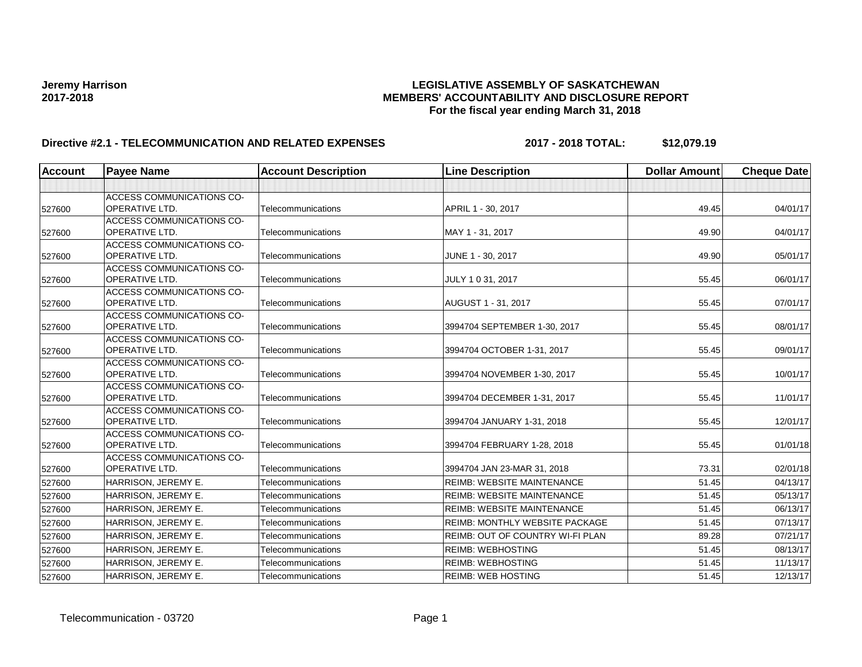# **Jeremy Harrison LEGISLATIVE ASSEMBLY OF SASKATCHEWAN 2017-2018 MEMBERS' ACCOUNTABILITY AND DISCLOSURE REPORT For the fiscal year ending March 31, 2018**

# Directive #2.1 - TELECOMMUNICATION AND RELATED EXPENSES 2017 - 2018 TOTAL: \$12,079.19

| <b>Account</b> | <b>Payee Name</b>                                         | <b>Account Description</b> | <b>Line Description</b>               | <b>Dollar Amount</b> | <b>Cheque Date</b> |
|----------------|-----------------------------------------------------------|----------------------------|---------------------------------------|----------------------|--------------------|
|                |                                                           |                            |                                       |                      |                    |
| 527600         | <b>ACCESS COMMUNICATIONS CO-</b><br><b>OPERATIVE LTD.</b> | Telecommunications         | APRIL 1 - 30, 2017                    | 49.45                | 04/01/17           |
| 527600         | <b>ACCESS COMMUNICATIONS CO-</b><br><b>OPERATIVE LTD.</b> | Telecommunications         | MAY 1 - 31, 2017                      | 49.90                | 04/01/17           |
| 527600         | <b>ACCESS COMMUNICATIONS CO-</b><br><b>OPERATIVE LTD.</b> | Telecommunications         | JUNE 1 - 30, 2017                     | 49.90                | 05/01/17           |
| 527600         | <b>ACCESS COMMUNICATIONS CO-</b><br><b>OPERATIVE LTD.</b> | Telecommunications         | JULY 1031, 2017                       | 55.45                | 06/01/17           |
| 527600         | <b>ACCESS COMMUNICATIONS CO-</b><br><b>OPERATIVE LTD.</b> | Telecommunications         | AUGUST 1 - 31, 2017                   | 55.45                | 07/01/17           |
| 527600         | <b>ACCESS COMMUNICATIONS CO-</b><br><b>OPERATIVE LTD.</b> | Telecommunications         | 3994704 SEPTEMBER 1-30, 2017          | 55.45                | 08/01/17           |
| 527600         | <b>ACCESS COMMUNICATIONS CO-</b><br><b>OPERATIVE LTD.</b> | Telecommunications         | 3994704 OCTOBER 1-31, 2017            | 55.45                | 09/01/17           |
| 527600         | ACCESS COMMUNICATIONS CO-<br><b>OPERATIVE LTD.</b>        | Telecommunications         | 3994704 NOVEMBER 1-30, 2017           | 55.45                | 10/01/17           |
| 527600         | ACCESS COMMUNICATIONS CO-<br><b>OPERATIVE LTD.</b>        | Telecommunications         | 3994704 DECEMBER 1-31, 2017           | 55.45                | 11/01/17           |
| 527600         | <b>ACCESS COMMUNICATIONS CO-</b><br><b>OPERATIVE LTD.</b> | Telecommunications         | 3994704 JANUARY 1-31, 2018            | 55.45                | 12/01/17           |
| 527600         | <b>ACCESS COMMUNICATIONS CO-</b><br> OPERATIVE LTD.       | Telecommunications         | 3994704 FEBRUARY 1-28, 2018           | 55.45                | 01/01/18           |
| 527600         | ACCESS COMMUNICATIONS CO-<br><b>OPERATIVE LTD.</b>        | Telecommunications         | 3994704 JAN 23-MAR 31, 2018           | 73.31                | 02/01/18           |
| 527600         | HARRISON, JEREMY E.                                       | Telecommunications         | <b>REIMB: WEBSITE MAINTENANCE</b>     | 51.45                | 04/13/17           |
| 527600         | HARRISON, JEREMY E.                                       | Telecommunications         | <b>REIMB: WEBSITE MAINTENANCE</b>     | 51.45                | 05/13/17           |
| 527600         | HARRISON, JEREMY E.                                       | Telecommunications         | <b>REIMB: WEBSITE MAINTENANCE</b>     | 51.45                | 06/13/17           |
| 527600         | HARRISON, JEREMY E.                                       | Telecommunications         | <b>REIMB: MONTHLY WEBSITE PACKAGE</b> | 51.45                | 07/13/17           |
| 527600         | HARRISON, JEREMY E.                                       | Telecommunications         | REIMB: OUT OF COUNTRY WI-FI PLAN      | 89.28                | 07/21/17           |
| 527600         | HARRISON, JEREMY E.                                       | Telecommunications         | <b>REIMB: WEBHOSTING</b>              | 51.45                | 08/13/17           |
| 527600         | HARRISON, JEREMY E.                                       | Telecommunications         | <b>REIMB: WEBHOSTING</b>              | 51.45                | 11/13/17           |
| 527600         | HARRISON, JEREMY E.                                       | Telecommunications         | <b>REIMB: WEB HOSTING</b>             | 51.45                | 12/13/17           |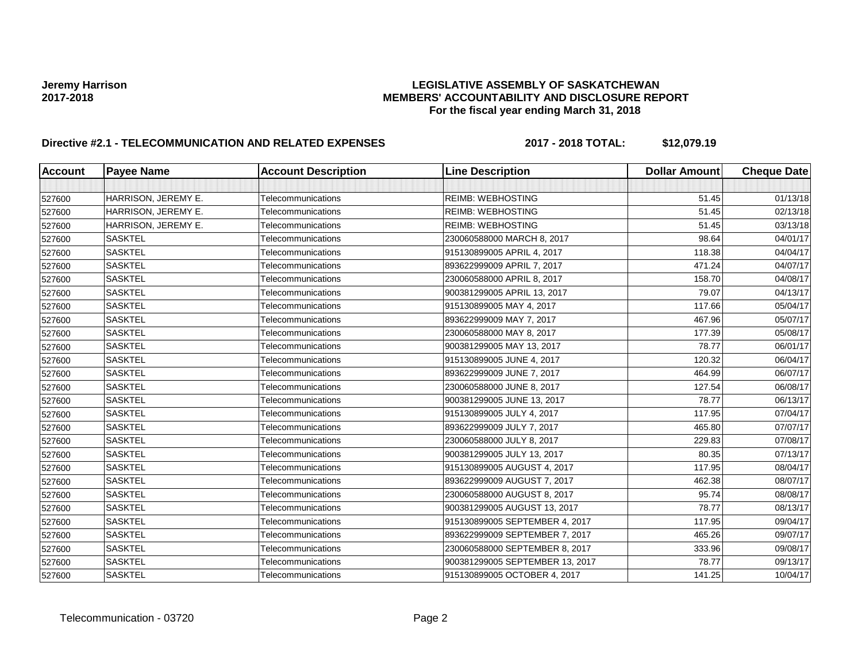# **Jeremy Harrison LEGISLATIVE ASSEMBLY OF SASKATCHEWAN 2017-2018 MEMBERS' ACCOUNTABILITY AND DISCLOSURE REPORT For the fiscal year ending March 31, 2018**

# Directive #2.1 - TELECOMMUNICATION AND RELATED EXPENSES 2017 - 2018 TOTAL: \$12,079.19

| <b>Account</b> | <b>Payee Name</b>   | <b>Account Description</b> | <b>Line Description</b>         | <b>Dollar Amount</b> | <b>Cheque Date</b> |
|----------------|---------------------|----------------------------|---------------------------------|----------------------|--------------------|
|                |                     |                            |                                 |                      |                    |
| 527600         | HARRISON, JEREMY E. | Telecommunications         | <b>REIMB: WEBHOSTING</b>        | 51.45                | 01/13/18           |
| 527600         | HARRISON, JEREMY E. | Telecommunications         | <b>REIMB: WEBHOSTING</b>        | 51.45                | 02/13/18           |
| 527600         | HARRISON, JEREMY E. | Telecommunications         | <b>REIMB: WEBHOSTING</b>        | 51.45                | 03/13/18           |
| 527600         | <b>SASKTEL</b>      | Telecommunications         | 230060588000 MARCH 8, 2017      | 98.64                | 04/01/17           |
| 527600         | <b>SASKTEL</b>      | Telecommunications         | 915130899005 APRIL 4, 2017      | 118.38               | 04/04/17           |
| 527600         | <b>SASKTEL</b>      | Telecommunications         | 893622999009 APRIL 7, 2017      | 471.24               | 04/07/17           |
| 527600         | <b>SASKTEL</b>      | Telecommunications         | 230060588000 APRIL 8, 2017      | 158.70               | 04/08/17           |
| 527600         | <b>SASKTEL</b>      | Telecommunications         | 900381299005 APRIL 13, 2017     | 79.07                | 04/13/17           |
| 527600         | <b>SASKTEL</b>      | Telecommunications         | 915130899005 MAY 4, 2017        | 117.66               | 05/04/17           |
| 527600         | <b>SASKTEL</b>      | Telecommunications         | 893622999009 MAY 7, 2017        | 467.96               | 05/07/17           |
| 527600         | <b>SASKTEL</b>      | Telecommunications         | 230060588000 MAY 8, 2017        | 177.39               | 05/08/17           |
| 527600         | <b>SASKTEL</b>      | Telecommunications         | 900381299005 MAY 13, 2017       | 78.77                | 06/01/17           |
| 527600         | <b>SASKTEL</b>      | Telecommunications         | 915130899005 JUNE 4, 2017       | 120.32               | 06/04/17           |
| 527600         | <b>SASKTEL</b>      | Telecommunications         | 893622999009 JUNE 7, 2017       | 464.99               | 06/07/17           |
| 527600         | <b>SASKTEL</b>      | Telecommunications         | 230060588000 JUNE 8, 2017       | 127.54               | 06/08/17           |
| 527600         | <b>SASKTEL</b>      | Telecommunications         | 900381299005 JUNE 13, 2017      | 78.77                | 06/13/17           |
| 527600         | <b>SASKTEL</b>      | Telecommunications         | 915130899005 JULY 4, 2017       | 117.95               | 07/04/17           |
| 527600         | <b>SASKTEL</b>      | Telecommunications         | 893622999009 JULY 7, 2017       | 465.80               | 07/07/17           |
| 527600         | <b>SASKTEL</b>      | Telecommunications         | 230060588000 JULY 8, 2017       | 229.83               | 07/08/17           |
| 527600         | <b>SASKTEL</b>      | Telecommunications         | 900381299005 JULY 13, 2017      | 80.35                | 07/13/17           |
| 527600         | <b>SASKTEL</b>      | Telecommunications         | 915130899005 AUGUST 4, 2017     | 117.95               | 08/04/17           |
| 527600         | <b>SASKTEL</b>      | Telecommunications         | 893622999009 AUGUST 7, 2017     | 462.38               | 08/07/17           |
| 527600         | <b>SASKTEL</b>      | Telecommunications         | 230060588000 AUGUST 8, 2017     | 95.74                | 08/08/17           |
| 527600         | <b>SASKTEL</b>      | Telecommunications         | 900381299005 AUGUST 13, 2017    | 78.77                | 08/13/17           |
| 527600         | <b>SASKTEL</b>      | Telecommunications         | 915130899005 SEPTEMBER 4, 2017  | 117.95               | 09/04/17           |
| 527600         | <b>SASKTEL</b>      | Telecommunications         | 893622999009 SEPTEMBER 7, 2017  | 465.26               | 09/07/17           |
| 527600         | <b>SASKTEL</b>      | Telecommunications         | 230060588000 SEPTEMBER 8, 2017  | 333.96               | 09/08/17           |
| 527600         | <b>SASKTEL</b>      | Telecommunications         | 900381299005 SEPTEMBER 13, 2017 | 78.77                | 09/13/17           |
| 527600         | <b>SASKTEL</b>      | Telecommunications         | 915130899005 OCTOBER 4, 2017    | 141.25               | 10/04/17           |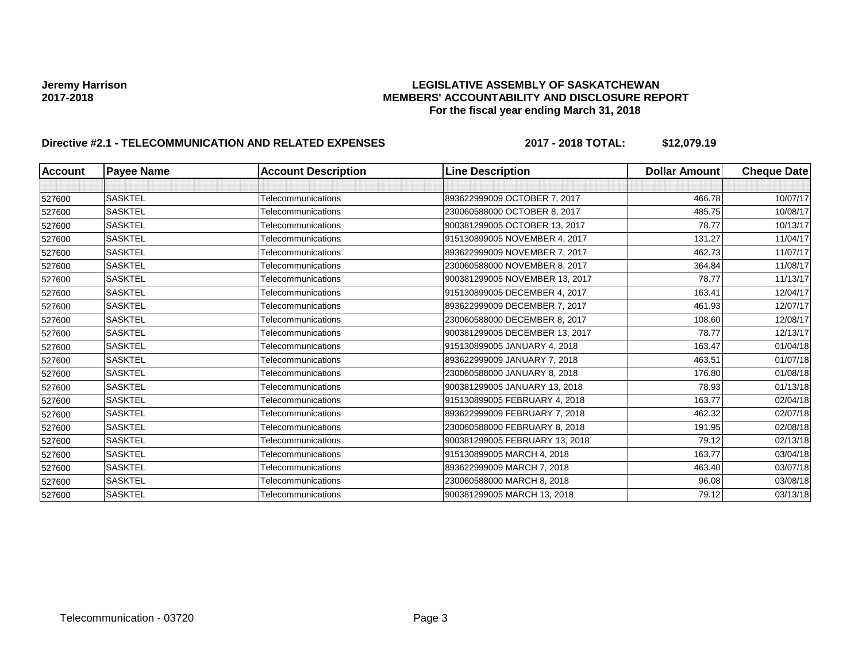# **Jeremy Harrison LEGISLATIVE ASSEMBLY OF SASKATCHEWAN 2017-2018 MEMBERS' ACCOUNTABILITY AND DISCLOSURE REPORT For the fiscal year ending March 31, 2018**

# Directive #2.1 - TELECOMMUNICATION AND RELATED EXPENSES 2017 - 2018 TOTAL: \$12,079.19

| <b>Account</b> | <b>Payee Name</b> | <b>Account Description</b> | <b>Line Description</b>        | <b>Dollar Amount</b> | <b>Cheque Date</b> |
|----------------|-------------------|----------------------------|--------------------------------|----------------------|--------------------|
|                |                   |                            |                                |                      |                    |
| 527600         | <b>SASKTEL</b>    | Telecommunications         | 893622999009 OCTOBER 7, 2017   | 466.78               | 10/07/17           |
| 527600         | <b>SASKTEL</b>    | Telecommunications         | 230060588000 OCTOBER 8, 2017   | 485.75               | 10/08/17           |
| 527600         | <b>SASKTEL</b>    | Telecommunications         | 900381299005 OCTOBER 13, 2017  | 78.77                | 10/13/17           |
| 527600         | <b>SASKTEL</b>    | Telecommunications         | 915130899005 NOVEMBER 4, 2017  | 131.27               | 11/04/17           |
| 527600         | <b>SASKTEL</b>    | <b>Telecommunications</b>  | 893622999009 NOVEMBER 7, 2017  | 462.73               | 11/07/17           |
| 527600         | <b>SASKTEL</b>    | Telecommunications         | 230060588000 NOVEMBER 8, 2017  | 364.84               | 11/08/17           |
| 527600         | <b>SASKTEL</b>    | Telecommunications         | 900381299005 NOVEMBER 13, 2017 | 78.77                | 11/13/17           |
| 527600         | <b>SASKTEL</b>    | Telecommunications         | 915130899005 DECEMBER 4, 2017  | 163.41               | 12/04/17           |
| 527600         | <b>SASKTEL</b>    | Telecommunications         | 893622999009 DECEMBER 7, 2017  | 461.93               | 12/07/17           |
| 527600         | <b>SASKTEL</b>    | Telecommunications         | 230060588000 DECEMBER 8, 2017  | 108.60               | 12/08/17           |
| 527600         | <b>SASKTEL</b>    | Telecommunications         | 900381299005 DECEMBER 13, 2017 | 78.77                | 12/13/17           |
| 527600         | <b>SASKTEL</b>    | Telecommunications         | 915130899005 JANUARY 4, 2018   | 163.47               | 01/04/18           |
| 527600         | <b>SASKTEL</b>    | Telecommunications         | 893622999009 JANUARY 7, 2018   | 463.51               | 01/07/18           |
| 527600         | <b>SASKTEL</b>    | Telecommunications         | 230060588000 JANUARY 8, 2018   | 176.80               | 01/08/18           |
| 527600         | <b>SASKTEL</b>    | Telecommunications         | 900381299005 JANUARY 13, 2018  | 78.93                | 01/13/18           |
| 527600         | <b>SASKTEL</b>    | Telecommunications         | 915130899005 FEBRUARY 4, 2018  | 163.77               | 02/04/18           |
| 527600         | <b>SASKTEL</b>    | Telecommunications         | 893622999009 FEBRUARY 7, 2018  | 462.32               | 02/07/18           |
| 527600         | <b>SASKTEL</b>    | Telecommunications         | 230060588000 FEBRUARY 8, 2018  | 191.95               | 02/08/18           |
| 527600         | <b>SASKTEL</b>    | Telecommunications         | 900381299005 FEBRUARY 13, 2018 | 79.12                | 02/13/18           |
| 527600         | <b>SASKTEL</b>    | Telecommunications         | 915130899005 MARCH 4, 2018     | 163.77               | 03/04/18           |
| 527600         | <b>SASKTEL</b>    | Telecommunications         | 893622999009 MARCH 7, 2018     | 463.40               | 03/07/18           |
| 527600         | <b>SASKTEL</b>    | Telecommunications         | 230060588000 MARCH 8, 2018     | 96.08                | 03/08/18           |
| 527600         | <b>SASKTEL</b>    | Telecommunications         | 900381299005 MARCH 13, 2018    | 79.12                | 03/13/18           |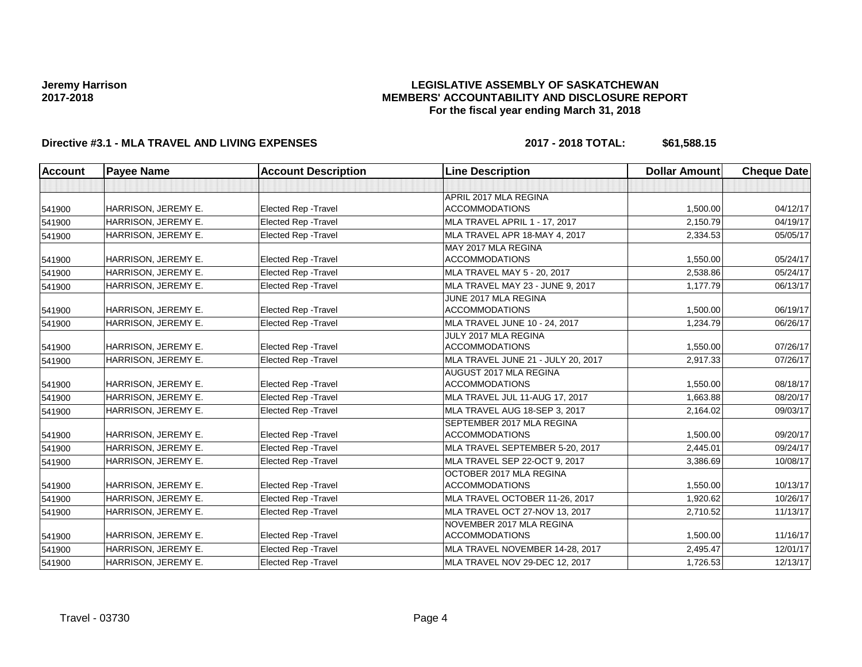### **LEGISLATIVE ASSEMBLY OF SASKATCHEWAN MEMBERS' ACCOUNTABILITY AND DISCLOSURE REPORT For the fiscal year ending March 31, 2018**

## **Directive #3.1 - MLA TRAVEL AND LIVING EXPENSES 2017 - 2018 TOTAL: \$61,588.15**

| <b>Account</b> | <b>Payee Name</b>   | <b>Account Description</b>  | <b>Line Description</b>              | <b>Dollar Amount</b> | <b>Cheque Date</b> |
|----------------|---------------------|-----------------------------|--------------------------------------|----------------------|--------------------|
|                |                     |                             |                                      |                      |                    |
|                |                     |                             | APRIL 2017 MLA REGINA                |                      |                    |
| 541900         | HARRISON, JEREMY E. | Elected Rep - Travel        | <b>ACCOMMODATIONS</b>                | 1,500.00             | 04/12/17           |
| 541900         | HARRISON. JEREMY E. | Elected Rep - Travel        | <b>MLA TRAVEL APRIL 1 - 17, 2017</b> | 2,150.79             | 04/19/17           |
| 541900         | HARRISON, JEREMY E. | <b>Elected Rep - Travel</b> | MLA TRAVEL APR 18-MAY 4, 2017        | 2,334.53             | 05/05/17           |
|                |                     |                             | MAY 2017 MLA REGINA                  |                      |                    |
| 541900         | HARRISON, JEREMY E. | Elected Rep - Travel        | <b>ACCOMMODATIONS</b>                | 1,550.00             | 05/24/17           |
| 541900         | HARRISON, JEREMY E. | <b>Elected Rep - Travel</b> | MLA TRAVEL MAY 5 - 20, 2017          | 2,538.86             | 05/24/17           |
| 541900         | HARRISON, JEREMY E. | Elected Rep - Travel        | MLA TRAVEL MAY 23 - JUNE 9, 2017     | 1,177.79             | 06/13/17           |
|                |                     |                             | JUNE 2017 MLA REGINA                 |                      |                    |
| 541900         | HARRISON, JEREMY E. | <b>Elected Rep - Travel</b> | <b>ACCOMMODATIONS</b>                | 1,500.00             | 06/19/17           |
| 541900         | HARRISON, JEREMY E. | <b>Elected Rep - Travel</b> | MLA TRAVEL JUNE 10 - 24, 2017        | 1,234.79             | 06/26/17           |
|                |                     |                             | JULY 2017 MLA REGINA                 |                      |                    |
| 541900         | HARRISON, JEREMY E. | Elected Rep - Travel        | <b>ACCOMMODATIONS</b>                | 1,550.00             | 07/26/17           |
| 541900         | HARRISON, JEREMY E. | Elected Rep - Travel        | MLA TRAVEL JUNE 21 - JULY 20, 2017   | 2,917.33             | 07/26/17           |
|                |                     |                             | AUGUST 2017 MLA REGINA               |                      |                    |
| 541900         | HARRISON, JEREMY E. | Elected Rep - Travel        | <b>ACCOMMODATIONS</b>                | 1,550.00             | 08/18/17           |
| 541900         | HARRISON, JEREMY E. | Elected Rep - Travel        | MLA TRAVEL JUL 11-AUG 17, 2017       | 1,663.88             | 08/20/17           |
| 541900         | HARRISON, JEREMY E. | Elected Rep - Travel        | MLA TRAVEL AUG 18-SEP 3, 2017        | 2,164.02             | 09/03/17           |
|                |                     |                             | SEPTEMBER 2017 MLA REGINA            |                      |                    |
| 541900         | HARRISON, JEREMY E. | Elected Rep - Travel        | <b>ACCOMMODATIONS</b>                | 1,500.00             | 09/20/17           |
| 541900         | HARRISON, JEREMY E. | Elected Rep - Travel        | MLA TRAVEL SEPTEMBER 5-20, 2017      | 2,445.01             | 09/24/17           |
| 541900         | HARRISON, JEREMY E. | Elected Rep - Travel        | MLA TRAVEL SEP 22-OCT 9, 2017        | 3,386.69             | 10/08/17           |
|                |                     |                             | OCTOBER 2017 MLA REGINA              |                      |                    |
| 541900         | HARRISON, JEREMY E. | <b>Elected Rep - Travel</b> | <b>ACCOMMODATIONS</b>                | 1,550.00             | 10/13/17           |
| 541900         | HARRISON, JEREMY E. | Elected Rep - Travel        | MLA TRAVEL OCTOBER 11-26, 2017       | 1,920.62             | 10/26/17           |
| 541900         | HARRISON, JEREMY E. | Elected Rep - Travel        | MLA TRAVEL OCT 27-NOV 13, 2017       | 2,710.52             | 11/13/17           |
|                |                     |                             | NOVEMBER 2017 MLA REGINA             |                      |                    |
| 541900         | HARRISON, JEREMY E. | Elected Rep - Travel        | <b>ACCOMMODATIONS</b>                | 1,500.00             | 11/16/17           |
| 541900         | HARRISON, JEREMY E. | Elected Rep - Travel        | MLA TRAVEL NOVEMBER 14-28, 2017      | 2,495.47             | 12/01/17           |
| 541900         | HARRISON, JEREMY E. | <b>Elected Rep - Travel</b> | MLA TRAVEL NOV 29-DEC 12, 2017       | 1,726.53             | 12/13/17           |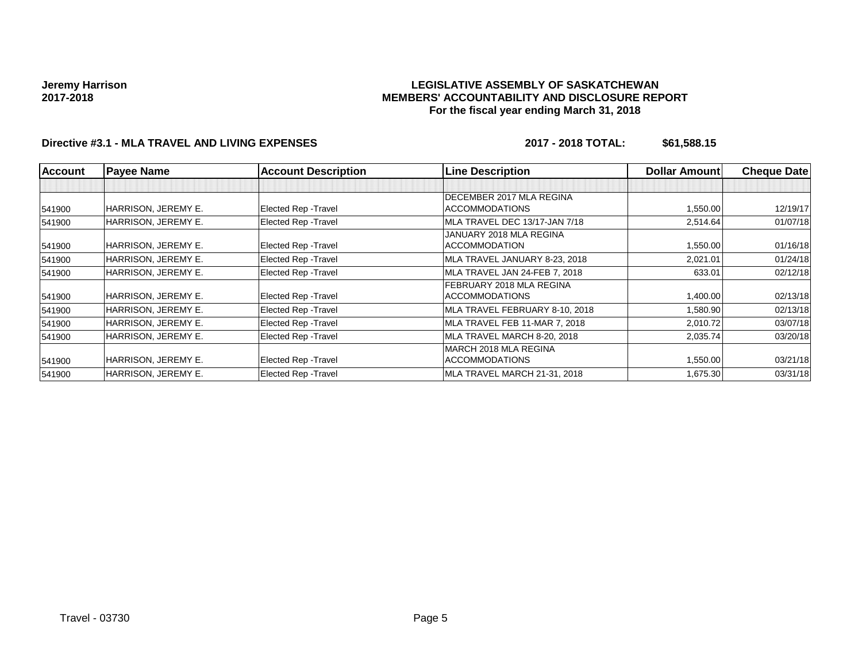### **LEGISLATIVE ASSEMBLY OF SASKATCHEWAN MEMBERS' ACCOUNTABILITY AND DISCLOSURE REPORT For the fiscal year ending March 31, 2018**

# **Directive #3.1 - MLA TRAVEL AND LIVING EXPENSES 2017 - 2018 TOTAL: \$61,588.15**

| <b>Account</b> | <b>Payee Name</b>   | <b>Account Description</b>  | <b>Line Description</b>        | <b>Dollar Amount</b> | <b>Cheque Date</b> |
|----------------|---------------------|-----------------------------|--------------------------------|----------------------|--------------------|
|                |                     |                             |                                |                      |                    |
|                |                     |                             | DECEMBER 2017 MLA REGINA       |                      |                    |
| 541900         | HARRISON, JEREMY E. | Elected Rep - Travel        | <b>ACCOMMODATIONS</b>          | 1,550.00             | 12/19/17           |
| 541900         | HARRISON, JEREMY E. | <b>Elected Rep - Travel</b> | MLA TRAVEL DEC 13/17-JAN 7/18  | 2,514.64             | 01/07/18           |
|                |                     |                             | JANUARY 2018 MLA REGINA        |                      |                    |
| 541900         | HARRISON, JEREMY E. | Elected Rep - Travel        | <b>ACCOMMODATION</b>           | 1,550.00             | 01/16/18           |
| 541900         | HARRISON, JEREMY E. | <b>Elected Rep - Travel</b> | MLA TRAVEL JANUARY 8-23, 2018  | 2,021.01             | 01/24/18           |
| 541900         | HARRISON, JEREMY E. | <b>Elected Rep - Travel</b> | MLA TRAVEL JAN 24-FEB 7, 2018  | 633.01               | 02/12/18           |
|                |                     |                             | FEBRUARY 2018 MLA REGINA       |                      |                    |
| 541900         | HARRISON, JEREMY E. | Elected Rep - Travel        | <b>ACCOMMODATIONS</b>          | 1,400.00             | 02/13/18           |
| 541900         | HARRISON, JEREMY E. | Elected Rep - Travel        | MLA TRAVEL FEBRUARY 8-10, 2018 | 1,580.90             | 02/13/18           |
| 541900         | HARRISON, JEREMY E. | <b>Elected Rep - Travel</b> | MLA TRAVEL FEB 11-MAR 7, 2018  | 2,010.72             | 03/07/18           |
| 541900         | HARRISON, JEREMY E. | <b>Elected Rep - Travel</b> | MLA TRAVEL MARCH 8-20, 2018    | 2,035.74             | 03/20/18           |
|                |                     |                             | MARCH 2018 MLA REGINA          |                      |                    |
| 541900         | HARRISON, JEREMY E. | Elected Rep - Travel        | <b>ACCOMMODATIONS</b>          | 1,550.00             | 03/21/18           |
| 541900         | HARRISON, JEREMY E. | <b>Elected Rep - Travel</b> | MLA TRAVEL MARCH 21-31, 2018   | 1,675.30             | 03/31/18           |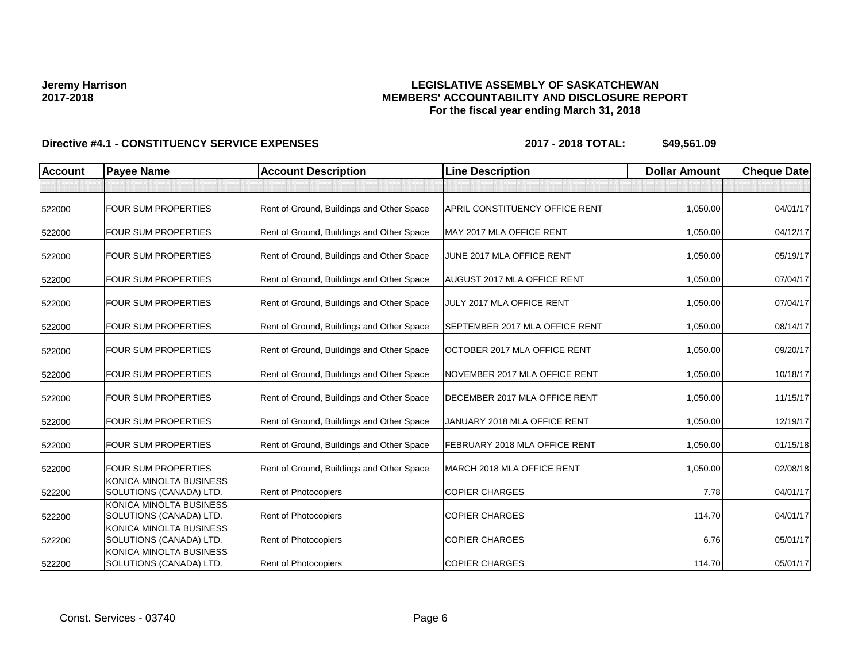### **LEGISLATIVE ASSEMBLY OF SASKATCHEWAN MEMBERS' ACCOUNTABILITY AND DISCLOSURE REPORT For the fiscal year ending March 31, 2018**

| <b>Account</b> | <b>Payee Name</b>                                  | <b>Account Description</b>                | <b>Line Description</b>               | <b>Dollar Amount</b> | <b>Cheque Date</b> |
|----------------|----------------------------------------------------|-------------------------------------------|---------------------------------------|----------------------|--------------------|
|                |                                                    |                                           |                                       |                      |                    |
| 522000         | <b>FOUR SUM PROPERTIES</b>                         | Rent of Ground, Buildings and Other Space | <b>APRIL CONSTITUENCY OFFICE RENT</b> | 1,050.00             | 04/01/17           |
| 522000         | <b>FOUR SUM PROPERTIES</b>                         | Rent of Ground, Buildings and Other Space | MAY 2017 MLA OFFICE RENT              | 1,050.00             | 04/12/17           |
| 522000         | <b>FOUR SUM PROPERTIES</b>                         | Rent of Ground, Buildings and Other Space | JUNE 2017 MLA OFFICE RENT             | 1,050.00             | 05/19/17           |
| 522000         | FOUR SUM PROPERTIES                                | Rent of Ground, Buildings and Other Space | <b>AUGUST 2017 MLA OFFICE RENT</b>    | 1,050.00             | 07/04/17           |
| 522000         | <b>FOUR SUM PROPERTIES</b>                         | Rent of Ground, Buildings and Other Space | JULY 2017 MLA OFFICE RENT             | 1,050.00             | 07/04/17           |
| 522000         | <b>FOUR SUM PROPERTIES</b>                         | Rent of Ground, Buildings and Other Space | SEPTEMBER 2017 MLA OFFICE RENT        | 1,050.00             | 08/14/17           |
| 522000         | <b>FOUR SUM PROPERTIES</b>                         | Rent of Ground, Buildings and Other Space | OCTOBER 2017 MLA OFFICE RENT          | 1,050.00             | 09/20/17           |
| 522000         | <b>FOUR SUM PROPERTIES</b>                         | Rent of Ground, Buildings and Other Space | NOVEMBER 2017 MLA OFFICE RENT         | 1,050.00             | 10/18/17           |
| 522000         | <b>FOUR SUM PROPERTIES</b>                         | Rent of Ground, Buildings and Other Space | DECEMBER 2017 MLA OFFICE RENT         | 1,050.00             | 11/15/17           |
| 522000         | <b>FOUR SUM PROPERTIES</b>                         | Rent of Ground, Buildings and Other Space | JANUARY 2018 MLA OFFICE RENT          | 1,050.00             | 12/19/17           |
| 522000         | <b>FOUR SUM PROPERTIES</b>                         | Rent of Ground, Buildings and Other Space | FEBRUARY 2018 MLA OFFICE RENT         | 1,050.00             | 01/15/18           |
| 522000         | <b>FOUR SUM PROPERTIES</b>                         | Rent of Ground, Buildings and Other Space | MARCH 2018 MLA OFFICE RENT            | 1,050.00             | 02/08/18           |
| 522200         | KONICA MINOLTA BUSINESS<br>SOLUTIONS (CANADA) LTD. | <b>Rent of Photocopiers</b>               | <b>COPIER CHARGES</b>                 | 7.78                 | 04/01/17           |
| 522200         | KONICA MINOLTA BUSINESS<br>SOLUTIONS (CANADA) LTD. | Rent of Photocopiers                      | <b>COPIER CHARGES</b>                 | 114.70               | 04/01/17           |
| 522200         | KONICA MINOLTA BUSINESS<br>SOLUTIONS (CANADA) LTD. | Rent of Photocopiers                      | <b>COPIER CHARGES</b>                 | 6.76                 | 05/01/17           |
| 522200         | KONICA MINOLTA BUSINESS<br>SOLUTIONS (CANADA) LTD. | Rent of Photocopiers                      | <b>COPIER CHARGES</b>                 | 114.70               | 05/01/17           |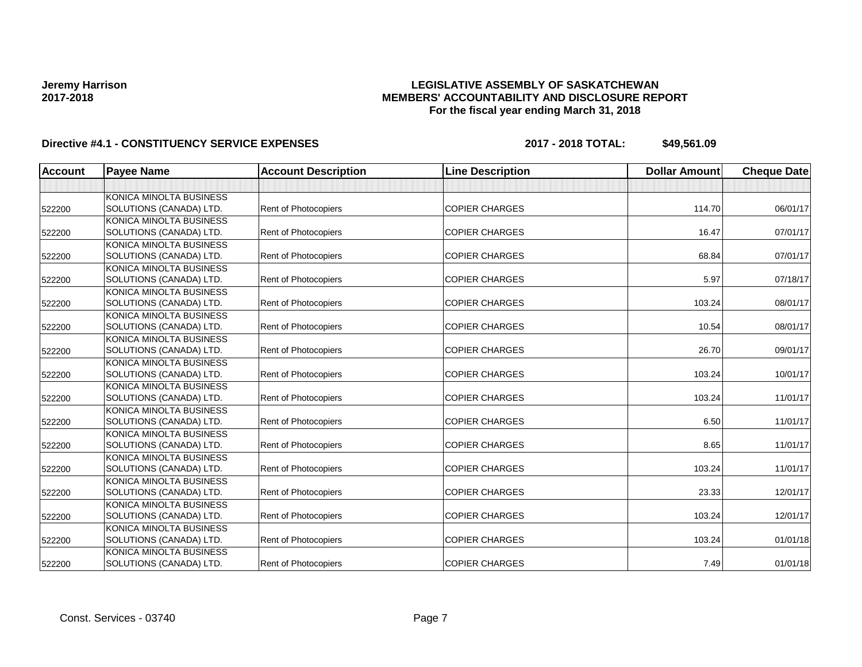### **LEGISLATIVE ASSEMBLY OF SASKATCHEWAN MEMBERS' ACCOUNTABILITY AND DISCLOSURE REPORT For the fiscal year ending March 31, 2018**

| <b>Account</b> | <b>Payee Name</b>       | <b>Account Description</b>  | <b>Line Description</b> | <b>Dollar Amount</b> | <b>Cheque Date</b> |
|----------------|-------------------------|-----------------------------|-------------------------|----------------------|--------------------|
|                |                         |                             |                         |                      |                    |
|                | KONICA MINOLTA BUSINESS |                             |                         |                      |                    |
| 522200         | SOLUTIONS (CANADA) LTD. | <b>Rent of Photocopiers</b> | <b>COPIER CHARGES</b>   | 114.70               | 06/01/17           |
|                | KONICA MINOLTA BUSINESS |                             |                         |                      |                    |
| 522200         | SOLUTIONS (CANADA) LTD. | Rent of Photocopiers        | <b>COPIER CHARGES</b>   | 16.47                | 07/01/17           |
|                | KONICA MINOLTA BUSINESS |                             |                         |                      |                    |
| 522200         | SOLUTIONS (CANADA) LTD. | <b>Rent of Photocopiers</b> | <b>COPIER CHARGES</b>   | 68.84                | 07/01/17           |
|                | KONICA MINOLTA BUSINESS |                             |                         |                      |                    |
| 522200         | SOLUTIONS (CANADA) LTD. | <b>Rent of Photocopiers</b> | <b>COPIER CHARGES</b>   | 5.97                 | 07/18/17           |
|                | KONICA MINOLTA BUSINESS |                             |                         |                      |                    |
| 522200         | SOLUTIONS (CANADA) LTD. | Rent of Photocopiers        | <b>COPIER CHARGES</b>   | 103.24               | 08/01/17           |
|                | KONICA MINOLTA BUSINESS |                             |                         |                      |                    |
| 522200         | SOLUTIONS (CANADA) LTD. | <b>Rent of Photocopiers</b> | <b>COPIER CHARGES</b>   | 10.54                | 08/01/17           |
|                | KONICA MINOLTA BUSINESS |                             |                         |                      |                    |
| 522200         | SOLUTIONS (CANADA) LTD. | <b>Rent of Photocopiers</b> | <b>COPIER CHARGES</b>   | 26.70                | 09/01/17           |
|                | KONICA MINOLTA BUSINESS |                             |                         |                      |                    |
| 522200         | SOLUTIONS (CANADA) LTD. | <b>Rent of Photocopiers</b> | <b>COPIER CHARGES</b>   | 103.24               | 10/01/17           |
|                | KONICA MINOLTA BUSINESS |                             |                         |                      |                    |
| 522200         | SOLUTIONS (CANADA) LTD. | <b>Rent of Photocopiers</b> | <b>COPIER CHARGES</b>   | 103.24               | 11/01/17           |
|                | KONICA MINOLTA BUSINESS |                             |                         |                      |                    |
| 522200         | SOLUTIONS (CANADA) LTD. | <b>Rent of Photocopiers</b> | <b>COPIER CHARGES</b>   | 6.50                 | 11/01/17           |
|                | KONICA MINOLTA BUSINESS |                             |                         |                      |                    |
| 522200         | SOLUTIONS (CANADA) LTD. | <b>Rent of Photocopiers</b> | <b>COPIER CHARGES</b>   | 8.65                 | 11/01/17           |
|                | KONICA MINOLTA BUSINESS |                             |                         |                      |                    |
| 522200         | SOLUTIONS (CANADA) LTD. | <b>Rent of Photocopiers</b> | <b>COPIER CHARGES</b>   | 103.24               | 11/01/17           |
|                | KONICA MINOLTA BUSINESS |                             |                         |                      |                    |
| 522200         | SOLUTIONS (CANADA) LTD. | Rent of Photocopiers        | <b>COPIER CHARGES</b>   | 23.33                | 12/01/17           |
|                | KONICA MINOLTA BUSINESS |                             |                         |                      |                    |
| 522200         | SOLUTIONS (CANADA) LTD. | <b>Rent of Photocopiers</b> | <b>COPIER CHARGES</b>   | 103.24               | 12/01/17           |
|                | KONICA MINOLTA BUSINESS |                             |                         |                      |                    |
| 522200         | SOLUTIONS (CANADA) LTD. | <b>Rent of Photocopiers</b> | <b>COPIER CHARGES</b>   | 103.24               | 01/01/18           |
|                | KONICA MINOLTA BUSINESS |                             |                         |                      |                    |
| 522200         | SOLUTIONS (CANADA) LTD. | <b>Rent of Photocopiers</b> | <b>COPIER CHARGES</b>   | 7.49                 | 01/01/18           |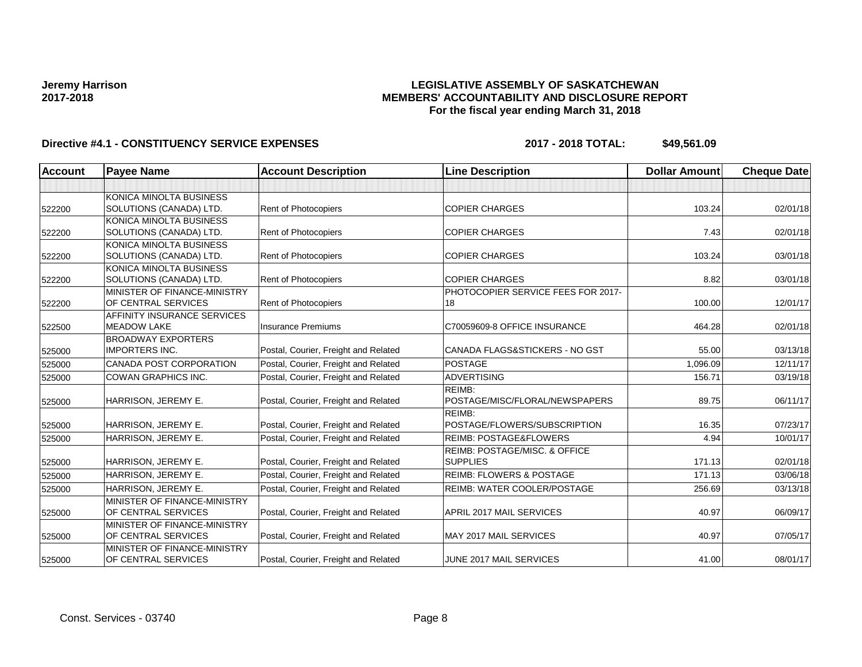### **LEGISLATIVE ASSEMBLY OF SASKATCHEWAN MEMBERS' ACCOUNTABILITY AND DISCLOSURE REPORT For the fiscal year ending March 31, 2018**

| <b>Account</b> | <b>Payee Name</b>                  | <b>Account Description</b>           | <b>Line Description</b>                  | <b>Dollar Amount</b> | <b>Cheque Date</b> |
|----------------|------------------------------------|--------------------------------------|------------------------------------------|----------------------|--------------------|
|                |                                    |                                      |                                          |                      |                    |
|                | KONICA MINOLTA BUSINESS            |                                      |                                          |                      |                    |
| 522200         | SOLUTIONS (CANADA) LTD.            | Rent of Photocopiers                 | <b>COPIER CHARGES</b>                    | 103.24               | 02/01/18           |
|                | <b>KONICA MINOLTA BUSINESS</b>     |                                      |                                          |                      |                    |
| 522200         | SOLUTIONS (CANADA) LTD.            | Rent of Photocopiers                 | <b>COPIER CHARGES</b>                    | 7.43                 | 02/01/18           |
|                | KONICA MINOLTA BUSINESS            |                                      |                                          |                      |                    |
| 522200         | SOLUTIONS (CANADA) LTD.            | <b>Rent of Photocopiers</b>          | <b>COPIER CHARGES</b>                    | 103.24               | 03/01/18           |
|                | KONICA MINOLTA BUSINESS            |                                      |                                          |                      |                    |
| 522200         | SOLUTIONS (CANADA) LTD.            | Rent of Photocopiers                 | <b>COPIER CHARGES</b>                    | 8.82                 | 03/01/18           |
|                | MINISTER OF FINANCE-MINISTRY       |                                      | PHOTOCOPIER SERVICE FEES FOR 2017-       |                      |                    |
| 522200         | OF CENTRAL SERVICES                | Rent of Photocopiers                 | 18                                       | 100.00               | 12/01/17           |
|                | <b>AFFINITY INSURANCE SERVICES</b> |                                      |                                          |                      |                    |
| 522500         | <b>MEADOW LAKE</b>                 | <b>Insurance Premiums</b>            | C70059609-8 OFFICE INSURANCE             | 464.28               | 02/01/18           |
|                | <b>BROADWAY EXPORTERS</b>          |                                      |                                          |                      |                    |
| 525000         | <b>IMPORTERS INC.</b>              | Postal, Courier, Freight and Related | CANADA FLAGS&STICKERS - NO GST           | 55.00                | 03/13/18           |
| 525000         | CANADA POST CORPORATION            | Postal, Courier, Freight and Related | <b>POSTAGE</b>                           | 1,096.09             | 12/11/17           |
| 525000         | <b>COWAN GRAPHICS INC.</b>         | Postal, Courier, Freight and Related | <b>ADVERTISING</b>                       | 156.71               | 03/19/18           |
|                |                                    |                                      | REIMB:                                   |                      |                    |
| 525000         | HARRISON, JEREMY E.                | Postal, Courier, Freight and Related | POSTAGE/MISC/FLORAL/NEWSPAPERS           | 89.75                | 06/11/17           |
|                |                                    |                                      | REIMB:                                   |                      |                    |
| 525000         | HARRISON, JEREMY E.                | Postal, Courier, Freight and Related | POSTAGE/FLOWERS/SUBSCRIPTION             | 16.35                | 07/23/17           |
| 525000         | HARRISON, JEREMY E.                | Postal, Courier, Freight and Related | <b>REIMB: POSTAGE&amp;FLOWERS</b>        | 4.94                 | 10/01/17           |
|                |                                    |                                      | <b>REIMB: POSTAGE/MISC, &amp; OFFICE</b> |                      |                    |
| 525000         | HARRISON, JEREMY E.                | Postal, Courier, Freight and Related | <b>SUPPLIES</b>                          | 171.13               | 02/01/18           |
| 525000         | HARRISON, JEREMY E.                | Postal, Courier, Freight and Related | <b>REIMB: FLOWERS &amp; POSTAGE</b>      | 171.13               | 03/06/18           |
| 525000         | HARRISON, JEREMY E.                | Postal, Courier, Freight and Related | REIMB: WATER COOLER/POSTAGE              | 256.69               | 03/13/18           |
|                | MINISTER OF FINANCE-MINISTRY       |                                      |                                          |                      |                    |
| 525000         | OF CENTRAL SERVICES                | Postal, Courier, Freight and Related | APRIL 2017 MAIL SERVICES                 | 40.97                | 06/09/17           |
|                | MINISTER OF FINANCE-MINISTRY       |                                      |                                          |                      |                    |
| 525000         | OF CENTRAL SERVICES                | Postal, Courier, Freight and Related | <b>MAY 2017 MAIL SERVICES</b>            | 40.97                | 07/05/17           |
|                | MINISTER OF FINANCE-MINISTRY       |                                      |                                          |                      |                    |
| 525000         | OF CENTRAL SERVICES                | Postal, Courier, Freight and Related | JUNE 2017 MAIL SERVICES                  | 41.00                | 08/01/17           |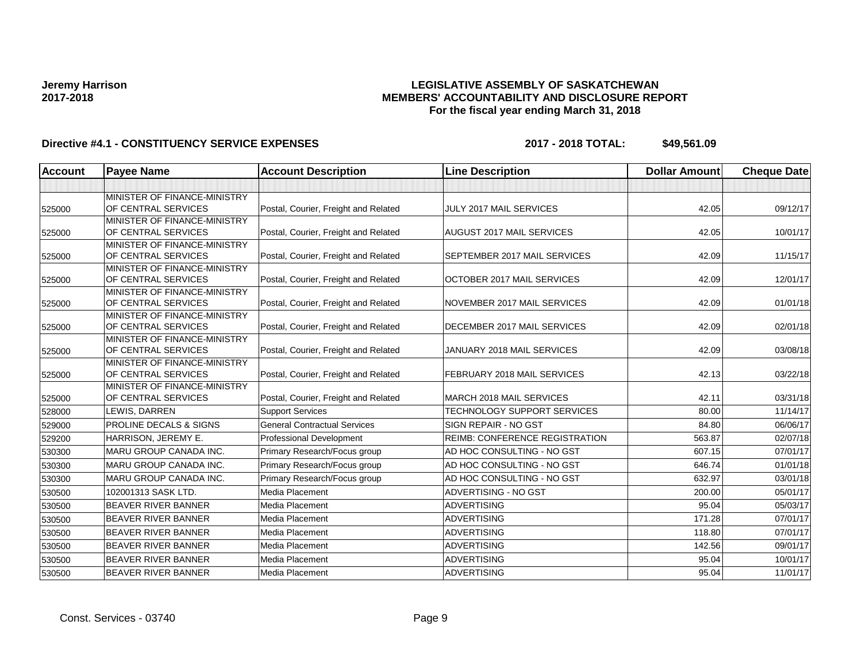### **LEGISLATIVE ASSEMBLY OF SASKATCHEWAN MEMBERS' ACCOUNTABILITY AND DISCLOSURE REPORT For the fiscal year ending March 31, 2018**

| <b>Account</b> | <b>Payee Name</b>                                   | <b>Account Description</b>           | <b>Line Description</b>        | <b>Dollar Amount</b> | <b>Cheque Date</b> |
|----------------|-----------------------------------------------------|--------------------------------------|--------------------------------|----------------------|--------------------|
|                |                                                     |                                      |                                |                      |                    |
| 525000         | MINISTER OF FINANCE-MINISTRY<br>OF CENTRAL SERVICES | Postal, Courier, Freight and Related | JULY 2017 MAIL SERVICES        | 42.05                | 09/12/17           |
|                | MINISTER OF FINANCE-MINISTRY                        |                                      |                                |                      |                    |
| 525000         | OF CENTRAL SERVICES                                 | Postal, Courier, Freight and Related | AUGUST 2017 MAIL SERVICES      | 42.05                | 10/01/17           |
| 525000         | MINISTER OF FINANCE-MINISTRY<br>OF CENTRAL SERVICES | Postal, Courier, Freight and Related | SEPTEMBER 2017 MAIL SERVICES   | 42.09                | 11/15/17           |
| 525000         | MINISTER OF FINANCE-MINISTRY<br>OF CENTRAL SERVICES | Postal, Courier, Freight and Related | OCTOBER 2017 MAIL SERVICES     | 42.09                | 12/01/17           |
| 525000         | MINISTER OF FINANCE-MINISTRY<br>OF CENTRAL SERVICES | Postal, Courier, Freight and Related | NOVEMBER 2017 MAIL SERVICES    | 42.09                | 01/01/18           |
| 525000         | MINISTER OF FINANCE-MINISTRY<br>OF CENTRAL SERVICES | Postal, Courier, Freight and Related | DECEMBER 2017 MAIL SERVICES    | 42.09                | 02/01/18           |
| 525000         | MINISTER OF FINANCE-MINISTRY<br>OF CENTRAL SERVICES | Postal, Courier, Freight and Related | JANUARY 2018 MAIL SERVICES     | 42.09                | 03/08/18           |
| 525000         | MINISTER OF FINANCE-MINISTRY<br>OF CENTRAL SERVICES | Postal, Courier, Freight and Related | FEBRUARY 2018 MAIL SERVICES    | 42.13                | 03/22/18           |
| 525000         | MINISTER OF FINANCE-MINISTRY<br>OF CENTRAL SERVICES | Postal, Courier, Freight and Related | MARCH 2018 MAIL SERVICES       | 42.11                | 03/31/18           |
| 528000         | LEWIS, DARREN                                       | <b>Support Services</b>              | TECHNOLOGY SUPPORT SERVICES    | 80.00                | 11/14/17           |
| 529000         | <b>PROLINE DECALS &amp; SIGNS</b>                   | <b>General Contractual Services</b>  | SIGN REPAIR - NO GST           | 84.80                | 06/06/17           |
| 529200         | HARRISON, JEREMY E.                                 | Professional Development             | REIMB: CONFERENCE REGISTRATION | 563.87               | 02/07/18           |
| 530300         | <b>MARU GROUP CANADA INC.</b>                       | Primary Research/Focus group         | AD HOC CONSULTING - NO GST     | 607.15               | 07/01/17           |
| 530300         | MARU GROUP CANADA INC.                              | Primary Research/Focus group         | AD HOC CONSULTING - NO GST     | 646.74               | 01/01/18           |
| 530300         | MARU GROUP CANADA INC.                              | Primary Research/Focus group         | AD HOC CONSULTING - NO GST     | 632.97               | 03/01/18           |
| 530500         | 102001313 SASK LTD.                                 | Media Placement                      | ADVERTISING - NO GST           | 200.00               | 05/01/17           |
| 530500         | <b>BEAVER RIVER BANNER</b>                          | Media Placement                      | <b>ADVERTISING</b>             | 95.04                | 05/03/17           |
| 530500         | <b>BEAVER RIVER BANNER</b>                          | Media Placement                      | <b>ADVERTISING</b>             | 171.28               | 07/01/17           |
| 530500         | <b>BEAVER RIVER BANNER</b>                          | Media Placement                      | <b>ADVERTISING</b>             | 118.80               | 07/01/17           |
| 530500         | <b>BEAVER RIVER BANNER</b>                          | Media Placement                      | <b>ADVERTISING</b>             | 142.56               | 09/01/17           |
| 530500         | <b>BEAVER RIVER BANNER</b>                          | Media Placement                      | <b>ADVERTISING</b>             | 95.04                | 10/01/17           |
| 530500         | <b>BEAVER RIVER BANNER</b>                          | Media Placement                      | <b>ADVERTISING</b>             | 95.04                | 11/01/17           |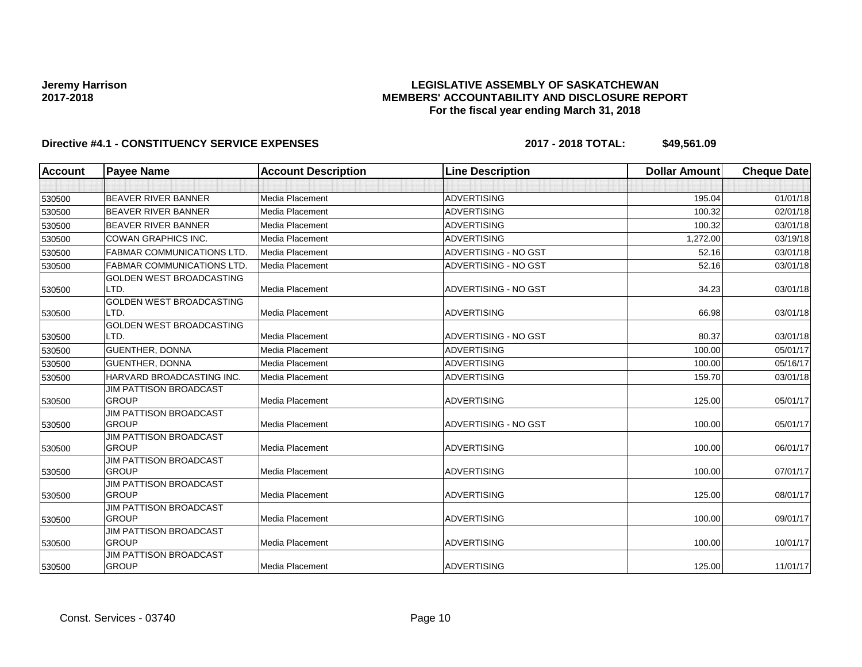### **LEGISLATIVE ASSEMBLY OF SASKATCHEWAN MEMBERS' ACCOUNTABILITY AND DISCLOSURE REPORT For the fiscal year ending March 31, 2018**

| <b>Account</b> | <b>Payee Name</b>                      | <b>Account Description</b> | <b>Line Description</b> | <b>Dollar Amount</b> | <b>Cheque Date</b> |
|----------------|----------------------------------------|----------------------------|-------------------------|----------------------|--------------------|
|                |                                        |                            |                         |                      |                    |
| 530500         | <b>BEAVER RIVER BANNER</b>             | <b>Media Placement</b>     | <b>ADVERTISING</b>      | 195.04               | 01/01/18           |
| 530500         | <b>BEAVER RIVER BANNER</b>             | <b>Media Placement</b>     | <b>ADVERTISING</b>      | 100.32               | 02/01/18           |
| 530500         | <b>BEAVER RIVER BANNER</b>             | Media Placement            | <b>ADVERTISING</b>      | 100.32               | 03/01/18           |
| 530500         | <b>COWAN GRAPHICS INC.</b>             | Media Placement            | <b>ADVERTISING</b>      | 1,272.00             | 03/19/18           |
| 530500         | <b>FABMAR COMMUNICATIONS LTD.</b>      | Media Placement            | ADVERTISING - NO GST    | 52.16                | 03/01/18           |
| 530500         | <b>FABMAR COMMUNICATIONS LTD</b>       | Media Placement            | ADVERTISING - NO GST    | 52.16                | 03/01/18           |
|                | GOLDEN WEST BROADCASTING               |                            |                         |                      |                    |
| 530500         | LTD.                                   | Media Placement            | ADVERTISING - NO GST    | 34.23                | 03/01/18           |
|                | <b>GOLDEN WEST BROADCASTING</b>        |                            |                         |                      |                    |
| 530500         | LTD.                                   | Media Placement            | <b>ADVERTISING</b>      | 66.98                | 03/01/18           |
|                | <b>GOLDEN WEST BROADCASTING</b>        |                            |                         |                      |                    |
| 530500         | LTD.                                   | Media Placement            | ADVERTISING - NO GST    | 80.37                | 03/01/18           |
| 530500         | <b>GUENTHER, DONNA</b>                 | Media Placement            | <b>ADVERTISING</b>      | 100.00               | 05/01/17           |
| 530500         | <b>GUENTHER, DONNA</b>                 | Media Placement            | <b>ADVERTISING</b>      | 100.00               | 05/16/17           |
| 530500         | HARVARD BROADCASTING INC.              | Media Placement            | <b>ADVERTISING</b>      | 159.70               | 03/01/18           |
|                | <b>JIM PATTISON BROADCAST</b>          |                            |                         |                      |                    |
| 530500         | <b>GROUP</b>                           | Media Placement            | <b>ADVERTISING</b>      | 125.00               | 05/01/17           |
|                | <b>JIM PATTISON BROADCAST</b>          |                            |                         |                      |                    |
| 530500         | <b>GROUP</b>                           | Media Placement            | ADVERTISING - NO GST    | 100.00               | 05/01/17           |
|                | <b>JIM PATTISON BROADCAST</b>          |                            |                         |                      |                    |
| 530500         | <b>GROUP</b>                           | Media Placement            | <b>ADVERTISING</b>      | 100.00               | 06/01/17           |
|                | <b>JIM PATTISON BROADCAST</b>          |                            |                         |                      |                    |
| 530500         | <b>GROUP</b>                           | Media Placement            | <b>ADVERTISING</b>      | 100.00               | 07/01/17           |
|                | <b>JIM PATTISON BROADCAST</b>          |                            |                         |                      |                    |
| 530500         | <b>GROUP</b>                           | Media Placement            | <b>ADVERTISING</b>      | 125.00               | 08/01/17           |
|                | JIM PATTISON BROADCAST<br><b>GROUP</b> |                            |                         |                      |                    |
| 530500         |                                        | <b>Media Placement</b>     | <b>ADVERTISING</b>      | 100.00               | 09/01/17           |
|                | JIM PATTISON BROADCAST<br><b>GROUP</b> | <b>Media Placement</b>     | <b>ADVERTISING</b>      | 100.00               | 10/01/17           |
| 530500         | <b>JIM PATTISON BROADCAST</b>          |                            |                         |                      |                    |
| 530500         | <b>GROUP</b>                           | Media Placement            | <b>ADVERTISING</b>      | 125.00               | 11/01/17           |
|                |                                        |                            |                         |                      |                    |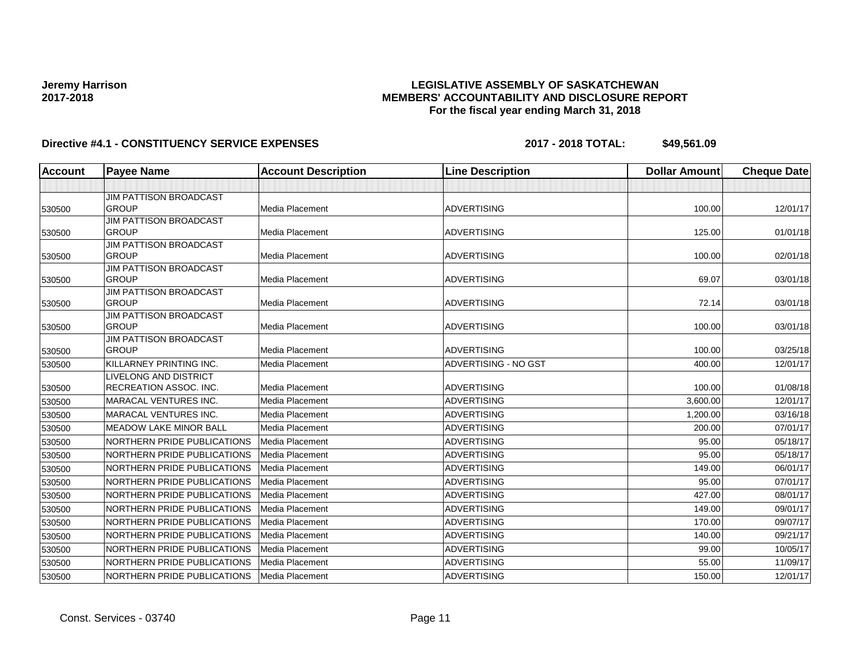### **LEGISLATIVE ASSEMBLY OF SASKATCHEWAN MEMBERS' ACCOUNTABILITY AND DISCLOSURE REPORT For the fiscal year ending March 31, 2018**

| Account | <b>Payee Name</b>                             | <b>Account Description</b> | <b>Line Description</b> | <b>Dollar Amount</b> | <b>Cheque Date</b> |
|---------|-----------------------------------------------|----------------------------|-------------------------|----------------------|--------------------|
|         |                                               |                            |                         |                      |                    |
|         | <b>JIM PATTISON BROADCAST</b>                 |                            |                         |                      |                    |
| 530500  | <b>GROUP</b>                                  | <b>Media Placement</b>     | <b>ADVERTISING</b>      | 100.00               | 12/01/17           |
|         | <b>JIM PATTISON BROADCAST</b>                 |                            |                         |                      |                    |
| 530500  | <b>GROUP</b>                                  | <b>Media Placement</b>     | <b>ADVERTISING</b>      | 125.00               | 01/01/18           |
|         | <b>JIM PATTISON BROADCAST</b>                 |                            |                         |                      |                    |
| 530500  | <b>GROUP</b>                                  | Media Placement            | <b>ADVERTISING</b>      | 100.00               | 02/01/18           |
|         | <b>JIM PATTISON BROADCAST</b><br><b>GROUP</b> | Media Placement            | <b>ADVERTISING</b>      | 69.07                |                    |
| 530500  | <b>JIM PATTISON BROADCAST</b>                 |                            |                         |                      | 03/01/18           |
| 530500  | <b>GROUP</b>                                  | <b>Media Placement</b>     | <b>ADVERTISING</b>      | 72.14                | 03/01/18           |
|         | <b>JIM PATTISON BROADCAST</b>                 |                            |                         |                      |                    |
| 530500  | <b>GROUP</b>                                  | Media Placement            | <b>ADVERTISING</b>      | 100.00               | 03/01/18           |
|         | <b>JIM PATTISON BROADCAST</b>                 |                            |                         |                      |                    |
| 530500  | <b>GROUP</b>                                  | <b>Media Placement</b>     | <b>ADVERTISING</b>      | 100.00               | 03/25/18           |
| 530500  | KILLARNEY PRINTING INC.                       | Media Placement            | ADVERTISING - NO GST    | 400.00               | 12/01/17           |
|         | LIVELONG AND DISTRICT                         |                            |                         |                      |                    |
| 530500  | RECREATION ASSOC. INC.                        | Media Placement            | <b>ADVERTISING</b>      | 100.00               | 01/08/18           |
| 530500  | MARACAL VENTURES INC.                         | Media Placement            | <b>ADVERTISING</b>      | 3,600.00             | 12/01/17           |
| 530500  | <b>MARACAL VENTURES INC.</b>                  | Media Placement            | <b>ADVERTISING</b>      | 1,200.00             | 03/16/18           |
| 530500  | <b>MEADOW LAKE MINOR BALL</b>                 | <b>Media Placement</b>     | <b>ADVERTISING</b>      | 200.00               | 07/01/17           |
| 530500  | NORTHERN PRIDE PUBLICATIONS                   | Media Placement            | <b>ADVERTISING</b>      | 95.00                | 05/18/17           |
| 530500  | NORTHERN PRIDE PUBLICATIONS                   | <b>Media Placement</b>     | <b>ADVERTISING</b>      | 95.00                | 05/18/17           |
| 530500  | NORTHERN PRIDE PUBLICATIONS                   | <b>Media Placement</b>     | <b>ADVERTISING</b>      | 149.00               | 06/01/17           |
| 530500  | NORTHERN PRIDE PUBLICATIONS                   | Media Placement            | <b>ADVERTISING</b>      | 95.00                | 07/01/17           |
| 530500  | NORTHERN PRIDE PUBLICATIONS                   | Media Placement            | <b>ADVERTISING</b>      | 427.00               | 08/01/17           |
| 530500  | NORTHERN PRIDE PUBLICATIONS                   | Media Placement            | <b>ADVERTISING</b>      | 149.00               | 09/01/17           |
| 530500  | NORTHERN PRIDE PUBLICATIONS                   | Media Placement            | <b>ADVERTISING</b>      | 170.00               | 09/07/17           |
| 530500  | NORTHERN PRIDE PUBLICATIONS                   | Media Placement            | <b>ADVERTISING</b>      | 140.00               | 09/21/17           |
| 530500  | NORTHERN PRIDE PUBLICATIONS                   | Media Placement            | <b>ADVERTISING</b>      | 99.00                | 10/05/17           |
| 530500  | NORTHERN PRIDE PUBLICATIONS                   | Media Placement            | <b>ADVERTISING</b>      | 55.00                | 11/09/17           |
| 530500  | NORTHERN PRIDE PUBLICATIONS                   | Media Placement            | <b>ADVERTISING</b>      | 150.00               | 12/01/17           |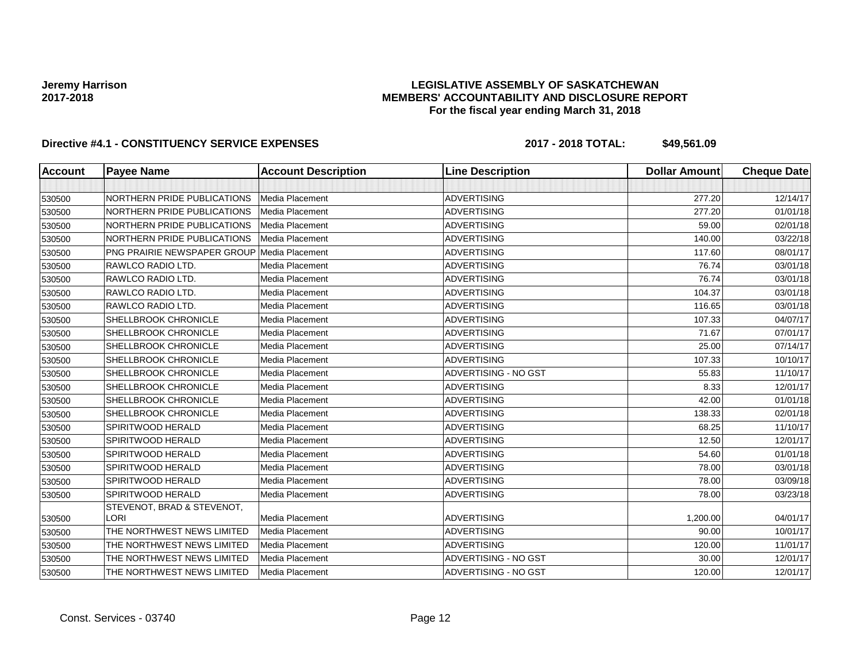### **LEGISLATIVE ASSEMBLY OF SASKATCHEWAN MEMBERS' ACCOUNTABILITY AND DISCLOSURE REPORT For the fiscal year ending March 31, 2018**

| <b>Account</b> | <b>Payee Name</b>           | <b>Account Description</b> | <b>Line Description</b> | <b>Dollar Amount</b> | <b>Cheque Date</b> |
|----------------|-----------------------------|----------------------------|-------------------------|----------------------|--------------------|
|                |                             |                            |                         |                      |                    |
| 530500         | NORTHERN PRIDE PUBLICATIONS | Media Placement            | <b>ADVERTISING</b>      | 277.20               | 12/14/17           |
| 530500         | NORTHERN PRIDE PUBLICATIONS | <b>Media Placement</b>     | ADVERTISING             | 277.20               | 01/01/18           |
| 530500         | NORTHERN PRIDE PUBLICATIONS | <b>Media Placement</b>     | <b>ADVERTISING</b>      | 59.00                | 02/01/18           |
| 530500         | NORTHERN PRIDE PUBLICATIONS | Media Placement            | <b>ADVERTISING</b>      | 140.00               | 03/22/18           |
| 530500         | PNG PRAIRIE NEWSPAPER GROUP | Media Placement            | <b>ADVERTISING</b>      | 117.60               | 08/01/17           |
| 530500         | RAWLCO RADIO LTD.           | Media Placement            | <b>ADVERTISING</b>      | 76.74                | 03/01/18           |
| 530500         | RAWLCO RADIO LTD.           | Media Placement            | <b>ADVERTISING</b>      | 76.74                | 03/01/18           |
| 530500         | RAWLCO RADIO LTD.           | Media Placement            | <b>ADVERTISING</b>      | 104.37               | 03/01/18           |
| 530500         | RAWLCO RADIO LTD.           | Media Placement            | <b>ADVERTISING</b>      | 116.65               | 03/01/18           |
| 530500         | SHELLBROOK CHRONICLE        | Media Placement            | <b>ADVERTISING</b>      | 107.33               | 04/07/17           |
| 530500         | SHELLBROOK CHRONICLE        | Media Placement            | <b>ADVERTISING</b>      | 71.67                | 07/01/17           |
| 530500         | SHELLBROOK CHRONICLE        | Media Placement            | <b>ADVERTISING</b>      | 25.00                | 07/14/17           |
| 530500         | SHELLBROOK CHRONICLE        | Media Placement            | <b>ADVERTISING</b>      | 107.33               | 10/10/17           |
| 530500         | SHELLBROOK CHRONICLE        | Media Placement            | ADVERTISING - NO GST    | 55.83                | 11/10/17           |
| 530500         | <b>SHELLBROOK CHRONICLE</b> | Media Placement            | <b>ADVERTISING</b>      | 8.33                 | 12/01/17           |
| 530500         | <b>SHELLBROOK CHRONICLE</b> | Media Placement            | <b>ADVERTISING</b>      | 42.00                | 01/01/18           |
| 530500         | SHELLBROOK CHRONICLE        | Media Placement            | <b>ADVERTISING</b>      | 138.33               | 02/01/18           |
| 530500         | SPIRITWOOD HERALD           | Media Placement            | <b>ADVERTISING</b>      | 68.25                | 11/10/17           |
| 530500         | SPIRITWOOD HERALD           | Media Placement            | <b>ADVERTISING</b>      | 12.50                | 12/01/17           |
| 530500         | SPIRITWOOD HERALD           | Media Placement            | <b>ADVERTISING</b>      | 54.60                | 01/01/18           |
| 530500         | <b>SPIRITWOOD HERALD</b>    | Media Placement            | <b>ADVERTISING</b>      | 78.00                | 03/01/18           |
| 530500         | SPIRITWOOD HERALD           | Media Placement            | <b>ADVERTISING</b>      | 78.00                | 03/09/18           |
| 530500         | SPIRITWOOD HERALD           | Media Placement            | <b>ADVERTISING</b>      | 78.00                | 03/23/18           |
|                | STEVENOT, BRAD & STEVENOT,  |                            |                         |                      |                    |
| 530500         | <b>LORI</b>                 | Media Placement            | <b>ADVERTISING</b>      | 1,200.00             | 04/01/17           |
| 530500         | THE NORTHWEST NEWS LIMITED  | Media Placement            | <b>ADVERTISING</b>      | 90.00                | 10/01/17           |
| 530500         | THE NORTHWEST NEWS LIMITED  | Media Placement            | <b>ADVERTISING</b>      | 120.00               | 11/01/17           |
| 530500         | THE NORTHWEST NEWS LIMITED  | Media Placement            | ADVERTISING - NO GST    | 30.00                | 12/01/17           |
| 530500         | THE NORTHWEST NEWS LIMITED  | Media Placement            | ADVERTISING - NO GST    | 120.00               | 12/01/17           |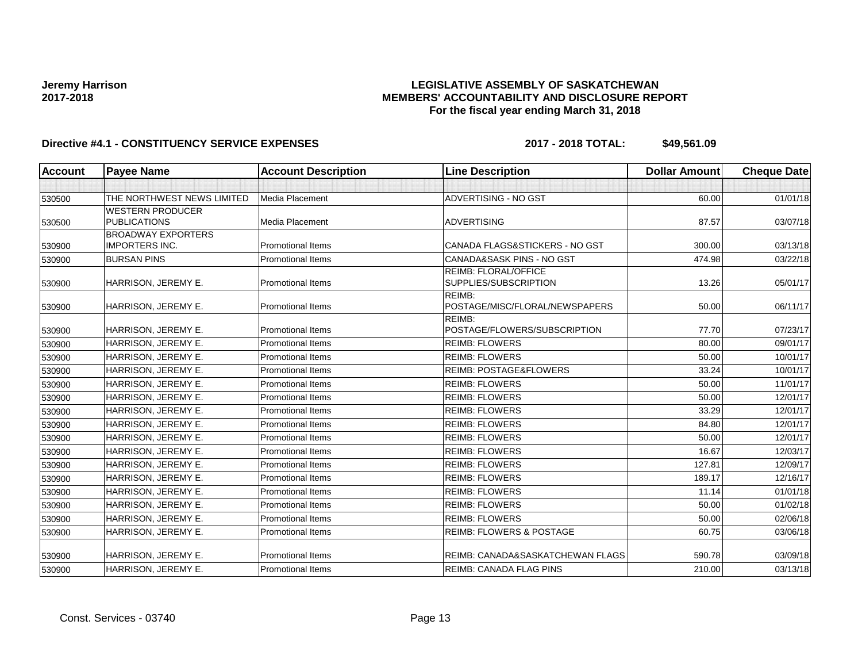### **LEGISLATIVE ASSEMBLY OF SASKATCHEWAN MEMBERS' ACCOUNTABILITY AND DISCLOSURE REPORT For the fiscal year ending March 31, 2018**

| <b>Account</b> | <b>Payee Name</b>          | <b>Account Description</b> | <b>Line Description</b>                       | <b>Dollar Amount</b> | <b>Cheque Date</b> |
|----------------|----------------------------|----------------------------|-----------------------------------------------|----------------------|--------------------|
|                |                            |                            |                                               |                      |                    |
| 530500         | THE NORTHWEST NEWS LIMITED | Media Placement            | ADVERTISING - NO GST                          | 60.00                | 01/01/18           |
|                | <b>WESTERN PRODUCER</b>    |                            |                                               |                      |                    |
| 530500         | <b>PUBLICATIONS</b>        | Media Placement            | <b>ADVERTISING</b>                            | 87.57                | 03/07/18           |
|                | <b>BROADWAY EXPORTERS</b>  |                            |                                               |                      |                    |
| 530900         | <b>IMPORTERS INC.</b>      | <b>Promotional Items</b>   | CANADA FLAGS&STICKERS - NO GST                | 300.00               | 03/13/18           |
| 530900         | <b>BURSAN PINS</b>         | <b>Promotional Items</b>   | <b>CANADA&amp;SASK PINS - NO GST</b>          | 474.98               | 03/22/18           |
|                | HARRISON, JEREMY E.        | <b>Promotional Items</b>   | REIMB: FLORAL/OFFICE<br>SUPPLIES/SUBSCRIPTION | 13.26                | 05/01/17           |
| 530900         |                            |                            | REIMB:                                        |                      |                    |
| 530900         | HARRISON, JEREMY E.        | <b>Promotional Items</b>   | POSTAGE/MISC/FLORAL/NEWSPAPERS                | 50.00                | 06/11/17           |
|                |                            |                            | REIMB:                                        |                      |                    |
| 530900         | HARRISON, JEREMY E.        | <b>Promotional Items</b>   | POSTAGE/FLOWERS/SUBSCRIPTION                  | 77.70                | 07/23/17           |
| 530900         | HARRISON, JEREMY E.        | <b>Promotional Items</b>   | <b>REIMB: FLOWERS</b>                         | 80.00                | 09/01/17           |
| 530900         | HARRISON, JEREMY E.        | <b>Promotional Items</b>   | <b>REIMB: FLOWERS</b>                         | 50.00                | 10/01/17           |
| 530900         | HARRISON, JEREMY E.        | <b>Promotional Items</b>   | <b>REIMB: POSTAGE&amp;FLOWERS</b>             | 33.24                | 10/01/17           |
| 530900         | HARRISON, JEREMY E.        | <b>Promotional Items</b>   | <b>REIMB: FLOWERS</b>                         | 50.00                | 11/01/17           |
| 530900         | HARRISON, JEREMY E.        | <b>Promotional Items</b>   | <b>REIMB: FLOWERS</b>                         | 50.00                | 12/01/17           |
| 530900         | HARRISON, JEREMY E.        | <b>Promotional Items</b>   | <b>REIMB: FLOWERS</b>                         | 33.29                | 12/01/17           |
| 530900         | HARRISON, JEREMY E.        | <b>Promotional Items</b>   | <b>REIMB: FLOWERS</b>                         | 84.80                | 12/01/17           |
| 530900         | HARRISON, JEREMY E.        | <b>Promotional Items</b>   | <b>REIMB: FLOWERS</b>                         | 50.00                | 12/01/17           |
| 530900         | HARRISON, JEREMY E.        | <b>Promotional Items</b>   | <b>REIMB: FLOWERS</b>                         | 16.67                | 12/03/17           |
| 530900         | HARRISON, JEREMY E.        | <b>Promotional Items</b>   | <b>REIMB: FLOWERS</b>                         | 127.81               | 12/09/17           |
| 530900         | HARRISON, JEREMY E.        | <b>Promotional Items</b>   | <b>REIMB: FLOWERS</b>                         | 189.17               | 12/16/17           |
| 530900         | HARRISON, JEREMY E.        | <b>Promotional Items</b>   | <b>REIMB: FLOWERS</b>                         | 11.14                | 01/01/18           |
| 530900         | HARRISON, JEREMY E.        | <b>Promotional Items</b>   | <b>REIMB: FLOWERS</b>                         | 50.00                | 01/02/18           |
| 530900         | HARRISON, JEREMY E.        | Promotional Items          | <b>REIMB: FLOWERS</b>                         | 50.00                | 02/06/18           |
| 530900         | HARRISON, JEREMY E.        | <b>Promotional Items</b>   | <b>REIMB: FLOWERS &amp; POSTAGE</b>           | 60.75                | 03/06/18           |
|                |                            | <b>Promotional Items</b>   | REIMB: CANADA&SASKATCHEWAN FLAGS              | 590.78               | 03/09/18           |
| 530900         | HARRISON, JEREMY E.        |                            |                                               |                      |                    |
| 530900         | HARRISON, JEREMY E.        | <b>Promotional Items</b>   | <b>REIMB: CANADA FLAG PINS</b>                | 210.00               | 03/13/18           |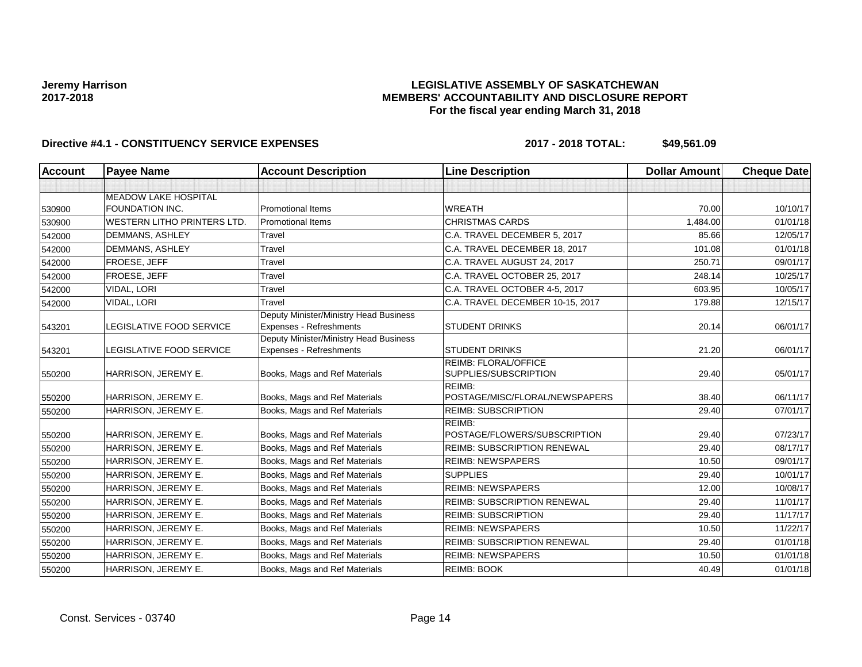### **LEGISLATIVE ASSEMBLY OF SASKATCHEWAN MEMBERS' ACCOUNTABILITY AND DISCLOSURE REPORT For the fiscal year ending March 31, 2018**

| Account | <b>Payee Name</b>                  | <b>Account Description</b>                                               | <b>Line Description</b>                              | <b>Dollar Amount</b> | <b>Cheque Date</b> |
|---------|------------------------------------|--------------------------------------------------------------------------|------------------------------------------------------|----------------------|--------------------|
|         |                                    |                                                                          |                                                      |                      |                    |
|         | <b>MEADOW LAKE HOSPITAL</b>        |                                                                          |                                                      |                      |                    |
| 530900  | <b>FOUNDATION INC.</b>             | <b>Promotional Items</b>                                                 | <b>WREATH</b>                                        | 70.00                | 10/10/17           |
| 530900  | <b>WESTERN LITHO PRINTERS LTD.</b> | <b>Promotional Items</b>                                                 | <b>CHRISTMAS CARDS</b>                               | 1,484.00             | 01/01/18           |
| 542000  | <b>DEMMANS, ASHLEY</b>             | Travel                                                                   | C.A. TRAVEL DECEMBER 5, 2017                         | 85.66                | 12/05/17           |
| 542000  | DEMMANS, ASHLEY                    | Travel                                                                   | C.A. TRAVEL DECEMBER 18, 2017                        | 101.08               | 01/01/18           |
| 542000  | FROESE, JEFF                       | Travel                                                                   | C.A. TRAVEL AUGUST 24, 2017                          | 250.71               | 09/01/17           |
| 542000  | FROESE, JEFF                       | Travel                                                                   | C.A. TRAVEL OCTOBER 25, 2017                         | 248.14               | 10/25/17           |
| 542000  | VIDAL, LORI                        | Travel                                                                   | C.A. TRAVEL OCTOBER 4-5, 2017                        | 603.95               | 10/05/17           |
| 542000  | VIDAL, LORI                        | Travel                                                                   | C.A. TRAVEL DECEMBER 10-15, 2017                     | 179.88               | 12/15/17           |
| 543201  | LEGISLATIVE FOOD SERVICE           | Deputy Minister/Ministry Head Business<br><b>Expenses - Refreshments</b> | <b>STUDENT DRINKS</b>                                | 20.14                | 06/01/17           |
| 543201  | <b>LEGISLATIVE FOOD SERVICE</b>    | Deputy Minister/Ministry Head Business<br><b>Expenses - Refreshments</b> | <b>STUDENT DRINKS</b>                                | 21.20                | 06/01/17           |
| 550200  | HARRISON, JEREMY E.                | Books, Mags and Ref Materials                                            | <b>REIMB: FLORAL/OFFICE</b><br>SUPPLIES/SUBSCRIPTION | 29.40                | 05/01/17           |
| 550200  | HARRISON, JEREMY E.                | Books, Mags and Ref Materials                                            | REIMB:<br>POSTAGE/MISC/FLORAL/NEWSPAPERS             | 38.40                | 06/11/17           |
| 550200  | HARRISON, JEREMY E.                | Books, Mags and Ref Materials                                            | <b>REIMB: SUBSCRIPTION</b>                           | 29.40                | 07/01/17           |
| 550200  | HARRISON, JEREMY E.                | Books, Mags and Ref Materials                                            | REIMB:<br>POSTAGE/FLOWERS/SUBSCRIPTION               | 29.40                | 07/23/17           |
| 550200  | HARRISON, JEREMY E.                | Books, Mags and Ref Materials                                            | <b>REIMB: SUBSCRIPTION RENEWAL</b>                   | 29.40                | 08/17/17           |
| 550200  | HARRISON, JEREMY E.                | Books, Mags and Ref Materials                                            | <b>REIMB: NEWSPAPERS</b>                             | 10.50                | 09/01/17           |
| 550200  | HARRISON, JEREMY E.                | Books, Mags and Ref Materials                                            | <b>SUPPLIES</b>                                      | 29.40                | 10/01/17           |
| 550200  | HARRISON, JEREMY E.                | Books, Mags and Ref Materials                                            | <b>REIMB: NEWSPAPERS</b>                             | 12.00                | 10/08/17           |
| 550200  | HARRISON, JEREMY E.                | Books, Mags and Ref Materials                                            | <b>REIMB: SUBSCRIPTION RENEWAL</b>                   | 29.40                | 11/01/17           |
| 550200  | HARRISON, JEREMY E.                | Books, Mags and Ref Materials                                            | <b>REIMB: SUBSCRIPTION</b>                           | 29.40                | 11/17/17           |
| 550200  | HARRISON, JEREMY E.                | Books, Mags and Ref Materials                                            | <b>REIMB: NEWSPAPERS</b>                             | 10.50                | 11/22/17           |
| 550200  | HARRISON, JEREMY E.                | Books, Mags and Ref Materials                                            | <b>REIMB: SUBSCRIPTION RENEWAL</b>                   | 29.40                | 01/01/18           |
| 550200  | HARRISON, JEREMY E.                | Books, Mags and Ref Materials                                            | <b>REIMB: NEWSPAPERS</b>                             | 10.50                | 01/01/18           |
| 550200  | HARRISON, JEREMY E.                | Books, Mags and Ref Materials                                            | <b>REIMB: BOOK</b>                                   | 40.49                | 01/01/18           |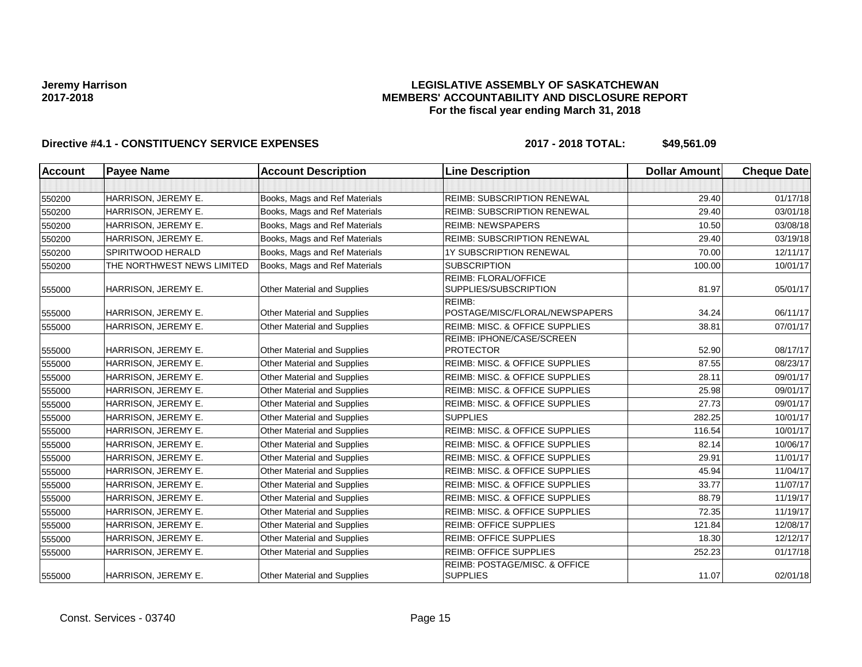### **LEGISLATIVE ASSEMBLY OF SASKATCHEWAN MEMBERS' ACCOUNTABILITY AND DISCLOSURE REPORT For the fiscal year ending March 31, 2018**

| <b>Account</b> | <b>Payee Name</b>          | <b>Account Description</b>         | <b>Line Description</b>                              | <b>Dollar Amount</b> | <b>Cheque Date</b> |
|----------------|----------------------------|------------------------------------|------------------------------------------------------|----------------------|--------------------|
|                |                            |                                    |                                                      |                      |                    |
| 550200         | HARRISON, JEREMY E.        | Books, Mags and Ref Materials      | <b>REIMB: SUBSCRIPTION RENEWAL</b>                   | 29.40                | 01/17/18           |
| 550200         | HARRISON, JEREMY E.        | Books, Mags and Ref Materials      | <b>REIMB: SUBSCRIPTION RENEWAL</b>                   | 29.40                | 03/01/18           |
| 550200         | HARRISON, JEREMY E.        | Books, Mags and Ref Materials      | <b>REIMB: NEWSPAPERS</b>                             | 10.50                | 03/08/18           |
| 550200         | HARRISON, JEREMY E.        | Books, Mags and Ref Materials      | <b>REIMB: SUBSCRIPTION RENEWAL</b>                   | 29.40                | 03/19/18           |
| 550200         | SPIRITWOOD HERALD          | Books, Mags and Ref Materials      | 1Y SUBSCRIPTION RENEWAL                              | 70.00                | 12/11/17           |
| 550200         | THE NORTHWEST NEWS LIMITED | Books, Mags and Ref Materials      | <b>SUBSCRIPTION</b>                                  | 100.00               | 10/01/17           |
| 555000         | HARRISON, JEREMY E.        | Other Material and Supplies        | <b>REIMB: FLORAL/OFFICE</b><br>SUPPLIES/SUBSCRIPTION | 81.97                | 05/01/17           |
| 555000         | HARRISON, JEREMY E.        | Other Material and Supplies        | REIMB:<br>POSTAGE/MISC/FLORAL/NEWSPAPERS             | 34.24                | 06/11/17           |
| 555000         | HARRISON, JEREMY E.        | <b>Other Material and Supplies</b> | <b>REIMB: MISC. &amp; OFFICE SUPPLIES</b>            | 38.81                | 07/01/17           |
| 555000         | HARRISON, JEREMY E.        | Other Material and Supplies        | <b>REIMB: IPHONE/CASE/SCREEN</b><br><b>PROTECTOR</b> | 52.90                | 08/17/17           |
| 555000         | HARRISON, JEREMY E.        | Other Material and Supplies        | REIMB: MISC. & OFFICE SUPPLIES                       | 87.55                | 08/23/17           |
| 555000         | HARRISON, JEREMY E.        | Other Material and Supplies        | REIMB: MISC. & OFFICE SUPPLIES                       | 28.11                | 09/01/17           |
| 555000         | HARRISON, JEREMY E.        | Other Material and Supplies        | <b>REIMB: MISC. &amp; OFFICE SUPPLIES</b>            | 25.98                | 09/01/17           |
| 555000         | HARRISON, JEREMY E.        | Other Material and Supplies        | REIMB: MISC. & OFFICE SUPPLIES                       | 27.73                | 09/01/17           |
| 555000         | HARRISON, JEREMY E.        | Other Material and Supplies        | <b>SUPPLIES</b>                                      | 282.25               | 10/01/17           |
| 555000         | HARRISON, JEREMY E.        | Other Material and Supplies        | REIMB: MISC. & OFFICE SUPPLIES                       | 116.54               | 10/01/17           |
| 555000         | HARRISON, JEREMY E.        | Other Material and Supplies        | REIMB: MISC. & OFFICE SUPPLIES                       | 82.14                | 10/06/17           |
| 555000         | HARRISON, JEREMY E.        | Other Material and Supplies        | REIMB: MISC. & OFFICE SUPPLIES                       | 29.91                | 11/01/17           |
| 555000         | HARRISON, JEREMY E.        | <b>Other Material and Supplies</b> | REIMB: MISC. & OFFICE SUPPLIES                       | 45.94                | 11/04/17           |
| 555000         | HARRISON, JEREMY E.        | <b>Other Material and Supplies</b> | REIMB: MISC. & OFFICE SUPPLIES                       | 33.77                | 11/07/17           |
| 555000         | HARRISON, JEREMY E.        | Other Material and Supplies        | REIMB: MISC. & OFFICE SUPPLIES                       | 88.79                | 11/19/17           |
| 555000         | HARRISON, JEREMY E.        | Other Material and Supplies        | REIMB: MISC. & OFFICE SUPPLIES                       | 72.35                | 11/19/17           |
| 555000         | HARRISON, JEREMY E.        | Other Material and Supplies        | <b>REIMB: OFFICE SUPPLIES</b>                        | 121.84               | 12/08/17           |
| 555000         | HARRISON, JEREMY E.        | Other Material and Supplies        | <b>REIMB: OFFICE SUPPLIES</b>                        | 18.30                | 12/12/17           |
| 555000         | HARRISON, JEREMY E.        | Other Material and Supplies        | <b>REIMB: OFFICE SUPPLIES</b>                        | 252.23               | 01/17/18           |
| 555000         | HARRISON, JEREMY E.        | Other Material and Supplies        | REIMB: POSTAGE/MISC. & OFFICE<br><b>SUPPLIES</b>     | 11.07                | 02/01/18           |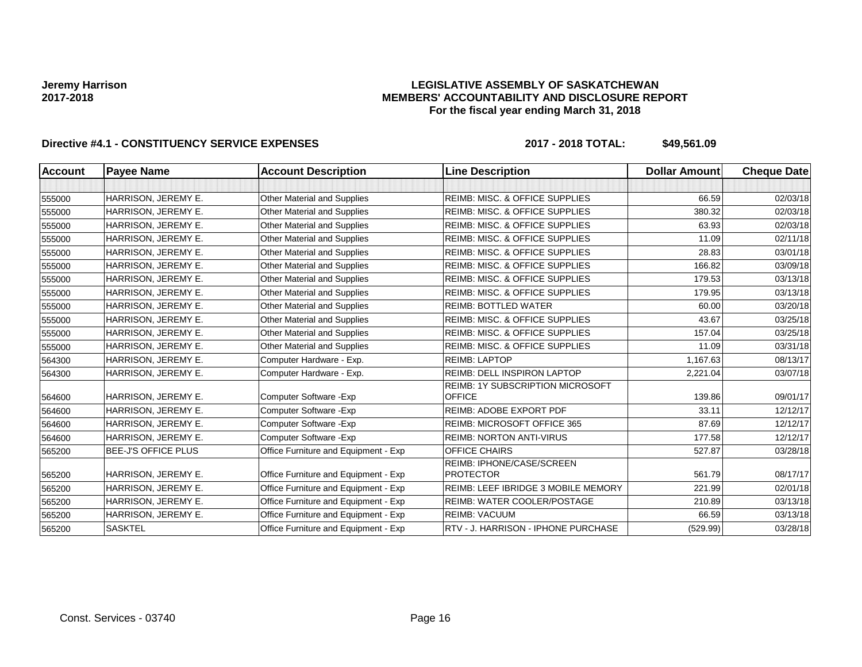#### **LEGISLATIVE ASSEMBLY OF SASKATCHEWAN MEMBERS' ACCOUNTABILITY AND DISCLOSURE REPORT For the fiscal year ending March 31, 2018**

| <b>Account</b> | <b>Payee Name</b>          | <b>Account Description</b>           | <b>Line Description</b>                       | <b>Dollar Amount</b> | <b>Cheque Date</b> |
|----------------|----------------------------|--------------------------------------|-----------------------------------------------|----------------------|--------------------|
|                |                            |                                      |                                               |                      |                    |
| 555000         | HARRISON, JEREMY E.        | <b>Other Material and Supplies</b>   | <b>REIMB: MISC. &amp; OFFICE SUPPLIES</b>     | 66.59                | 02/03/18           |
| 555000         | HARRISON, JEREMY E.        | Other Material and Supplies          | <b>REIMB: MISC. &amp; OFFICE SUPPLIES</b>     | 380.32               | 02/03/18           |
| 555000         | HARRISON, JEREMY E.        | <b>Other Material and Supplies</b>   | <b>REIMB: MISC. &amp; OFFICE SUPPLIES</b>     | 63.93                | 02/03/18           |
| 555000         | HARRISON, JEREMY E.        | <b>Other Material and Supplies</b>   | <b>REIMB: MISC. &amp; OFFICE SUPPLIES</b>     | 11.09                | 02/11/18           |
| 555000         | HARRISON, JEREMY E.        | <b>Other Material and Supplies</b>   | REIMB: MISC. & OFFICE SUPPLIES                | 28.83                | 03/01/18           |
| 555000         | HARRISON, JEREMY E.        | <b>Other Material and Supplies</b>   | <b>REIMB: MISC. &amp; OFFICE SUPPLIES</b>     | 166.82               | 03/09/18           |
| 555000         | HARRISON, JEREMY E.        | <b>Other Material and Supplies</b>   | <b>REIMB: MISC. &amp; OFFICE SUPPLIES</b>     | 179.53               | 03/13/18           |
| 555000         | HARRISON, JEREMY E.        | <b>Other Material and Supplies</b>   | <b>REIMB: MISC. &amp; OFFICE SUPPLIES</b>     | 179.95               | 03/13/18           |
| 555000         | HARRISON, JEREMY E.        | <b>Other Material and Supplies</b>   | <b>REIMB: BOTTLED WATER</b>                   | 60.00                | 03/20/18           |
| 555000         | HARRISON, JEREMY E.        | <b>Other Material and Supplies</b>   | REIMB: MISC. & OFFICE SUPPLIES                | 43.67                | 03/25/18           |
| 555000         | HARRISON, JEREMY E.        | <b>Other Material and Supplies</b>   | <b>REIMB: MISC. &amp; OFFICE SUPPLIES</b>     | 157.04               | 03/25/18           |
| 555000         | HARRISON, JEREMY E.        | <b>Other Material and Supplies</b>   | <b>REIMB: MISC. &amp; OFFICE SUPPLIES</b>     | 11.09                | 03/31/18           |
| 564300         | HARRISON, JEREMY E.        | Computer Hardware - Exp.             | <b>REIMB: LAPTOP</b>                          | 1,167.63             | 08/13/17           |
| 564300         | HARRISON, JEREMY E.        | Computer Hardware - Exp.             | <b>REIMB: DELL INSPIRON LAPTOP</b>            | 2,221.04             | 03/07/18           |
|                |                            |                                      | REIMB: 1Y SUBSCRIPTION MICROSOFT              |                      |                    |
| 564600         | HARRISON, JEREMY E.        | Computer Software - Exp              | <b>OFFICE</b>                                 | 139.86               | 09/01/17           |
| 564600         | HARRISON, JEREMY E.        | Computer Software - Exp              | REIMB: ADOBE EXPORT PDF                       | 33.11                | 12/12/17           |
| 564600         | HARRISON, JEREMY E.        | Computer Software - Exp              | REIMB: MICROSOFT OFFICE 365                   | 87.69                | 12/12/17           |
| 564600         | HARRISON, JEREMY E.        | Computer Software - Exp              | <b>REIMB: NORTON ANTI-VIRUS</b>               | 177.58               | 12/12/17           |
| 565200         | <b>BEE-J'S OFFICE PLUS</b> | Office Furniture and Equipment - Exp | <b>OFFICE CHAIRS</b>                          | 527.87               | 03/28/18           |
| 565200         | HARRISON, JEREMY E.        | Office Furniture and Equipment - Exp | REIMB: IPHONE/CASE/SCREEN<br><b>PROTECTOR</b> | 561.79               | 08/17/17           |
| 565200         | HARRISON, JEREMY E.        | Office Furniture and Equipment - Exp | REIMB: LEEF IBRIDGE 3 MOBILE MEMORY           | 221.99               | 02/01/18           |
| 565200         | HARRISON, JEREMY E.        | Office Furniture and Equipment - Exp | REIMB: WATER COOLER/POSTAGE                   | 210.89               | 03/13/18           |
| 565200         | HARRISON, JEREMY E.        | Office Furniture and Equipment - Exp | <b>REIMB: VACUUM</b>                          | 66.59                | 03/13/18           |
| 565200         | <b>SASKTEL</b>             | Office Furniture and Equipment - Exp | RTV - J. HARRISON - IPHONE PURCHASE           | (529.99)             | 03/28/18           |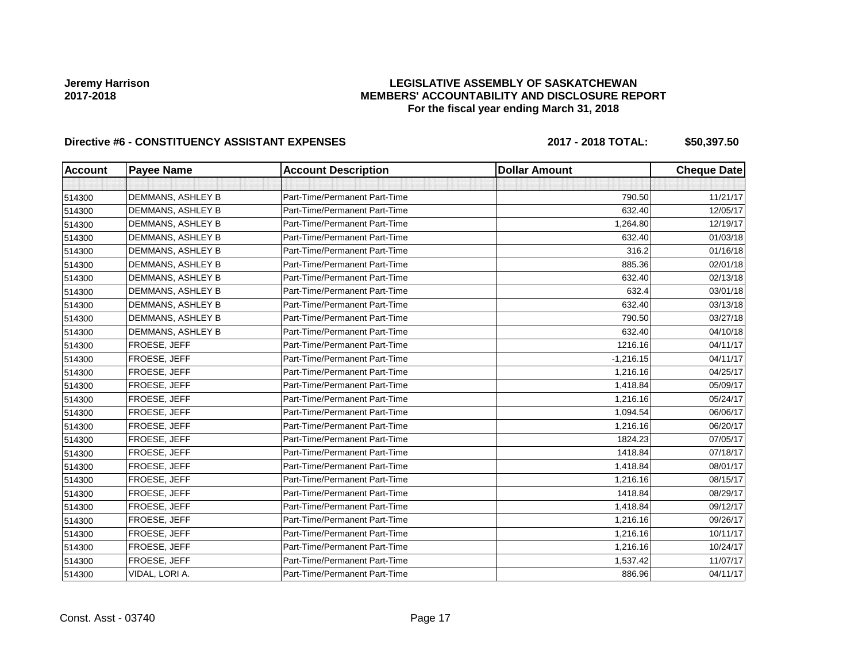### **LEGISLATIVE ASSEMBLY OF SASKATCHEWAN MEMBERS' ACCOUNTABILITY AND DISCLOSURE REPORT For the fiscal year ending March 31, 2018**

# Directive #6 - CONSTITUENCY ASSISTANT EXPENSES 2017 - 2018 TOTAL: \$50,397.50

| <b>Account</b> | <b>Payee Name</b> | <b>Account Description</b>    | <b>Dollar Amount</b> | <b>Cheque Date</b> |
|----------------|-------------------|-------------------------------|----------------------|--------------------|
|                |                   |                               |                      |                    |
| 514300         | DEMMANS, ASHLEY B | Part-Time/Permanent Part-Time | 790.50               | 11/21/17           |
| 514300         | DEMMANS, ASHLEY B | Part-Time/Permanent Part-Time | 632.40               | 12/05/17           |
| 514300         | DEMMANS, ASHLEY B | Part-Time/Permanent Part-Time | 1,264.80             | 12/19/17           |
| 514300         | DEMMANS, ASHLEY B | Part-Time/Permanent Part-Time | 632.40               | 01/03/18           |
| 514300         | DEMMANS, ASHLEY B | Part-Time/Permanent Part-Time | 316.2                | 01/16/18           |
| 514300         | DEMMANS, ASHLEY B | Part-Time/Permanent Part-Time | 885.36               | 02/01/18           |
| 514300         | DEMMANS, ASHLEY B | Part-Time/Permanent Part-Time | 632.40               | 02/13/18           |
| 514300         | DEMMANS, ASHLEY B | Part-Time/Permanent Part-Time | 632.4                | 03/01/18           |
| 514300         | DEMMANS, ASHLEY B | Part-Time/Permanent Part-Time | 632.40               | 03/13/18           |
| 514300         | DEMMANS, ASHLEY B | Part-Time/Permanent Part-Time | 790.50               | 03/27/18           |
| 514300         | DEMMANS, ASHLEY B | Part-Time/Permanent Part-Time | 632.40               | 04/10/18           |
| 514300         | FROESE, JEFF      | Part-Time/Permanent Part-Time | 1216.16              | 04/11/17           |
| 514300         | FROESE, JEFF      | Part-Time/Permanent Part-Time | $-1,216.15$          | 04/11/17           |
| 514300         | FROESE, JEFF      | Part-Time/Permanent Part-Time | 1,216.16             | 04/25/17           |
| 514300         | FROESE, JEFF      | Part-Time/Permanent Part-Time | 1,418.84             | 05/09/17           |
| 514300         | FROESE, JEFF      | Part-Time/Permanent Part-Time | 1,216.16             | 05/24/17           |
| 514300         | FROESE, JEFF      | Part-Time/Permanent Part-Time | 1,094.54             | 06/06/17           |
| 514300         | FROESE, JEFF      | Part-Time/Permanent Part-Time | 1,216.16             | 06/20/17           |
| 514300         | FROESE, JEFF      | Part-Time/Permanent Part-Time | 1824.23              | 07/05/17           |
| 514300         | FROESE, JEFF      | Part-Time/Permanent Part-Time | 1418.84              | 07/18/17           |
| 514300         | FROESE, JEFF      | Part-Time/Permanent Part-Time | 1,418.84             | 08/01/17           |
| 514300         | FROESE, JEFF      | Part-Time/Permanent Part-Time | 1,216.16             | 08/15/17           |
| 514300         | FROESE, JEFF      | Part-Time/Permanent Part-Time | 1418.84              | 08/29/17           |
| 514300         | FROESE, JEFF      | Part-Time/Permanent Part-Time | 1,418.84             | 09/12/17           |
| 514300         | FROESE, JEFF      | Part-Time/Permanent Part-Time | 1,216.16             | 09/26/17           |
| 514300         | FROESE, JEFF      | Part-Time/Permanent Part-Time | 1,216.16             | 10/11/17           |
| 514300         | FROESE, JEFF      | Part-Time/Permanent Part-Time | 1,216.16             | 10/24/17           |
| 514300         | FROESE, JEFF      | Part-Time/Permanent Part-Time | 1,537.42             | 11/07/17           |
| 514300         | VIDAL, LORI A.    | Part-Time/Permanent Part-Time | 886.96               | 04/11/17           |